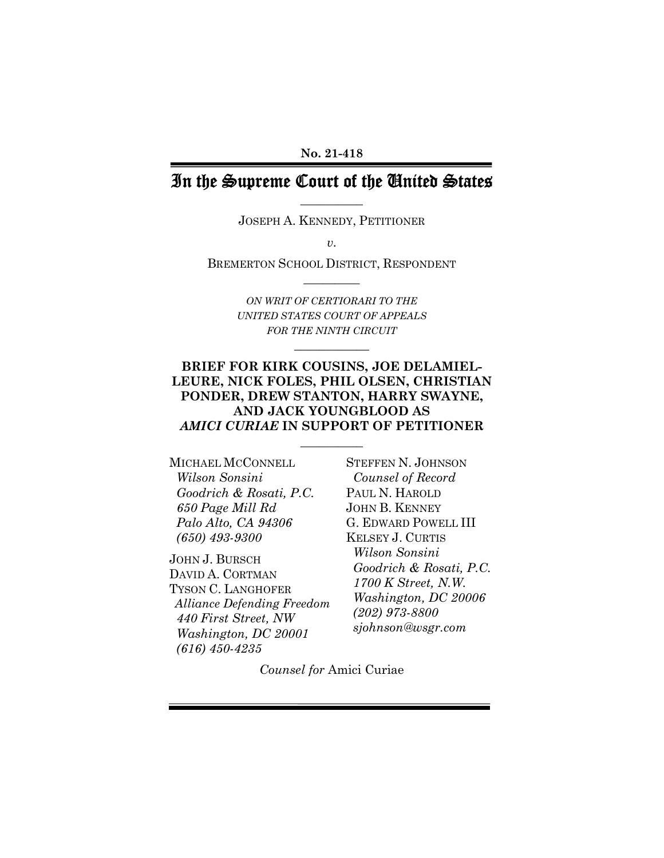#### **No. 21-418**

## In the Supreme Court of the United States **\_\_\_\_\_\_\_\_\_\_**

JOSEPH A. KENNEDY, PETITIONER

*v.* 

BREMERTON SCHOOL DISTRICT, RESPONDENT **\_\_\_\_\_\_\_\_\_** 

> *ON WRIT OF CERTIORARI TO THE UNITED STATES COURT OF APPEALS FOR THE NINTH CIRCUIT*

> > **\_\_\_\_\_\_\_\_\_\_\_\_**

#### **BRIEF FOR KIRK COUSINS, JOE DELAMIEL-LEURE, NICK FOLES, PHIL OLSEN, CHRISTIAN PONDER, DREW STANTON, HARRY SWAYNE, AND JACK YOUNGBLOOD AS**  *AMICI CURIAE* **IN SUPPORT OF PETITIONER**

 $\overline{\phantom{a}}$  . The set of the set of the set of the set of the set of the set of the set of the set of the set of the set of the set of the set of the set of the set of the set of the set of the set of the set of the set o

MICHAEL MCCONNELL  *Wilson Sonsini Goodrich & Rosati, P.C. 650 Page Mill Rd Palo Alto, CA 94306 (650) 493-9300* 

JOHN J. BURSCH DAVID A. CORTMAN TYSON C. LANGHOFER  *Alliance Defending Freedom 440 First Street, NW Washington, DC 20001 (616) 450-4235* 

STEFFEN N. JOHNSON  *Counsel of Record*  PAUL N. HAROLD JOHN B. KENNEY G. EDWARD POWELL III KELSEY J. CURTIS  *Wilson Sonsini Goodrich & Rosati, P.C. 1700 K Street, N.W. Washington, DC 20006 (202) 973-8800 sjohnson@wsgr.com* 

*Counsel for* Amici Curiae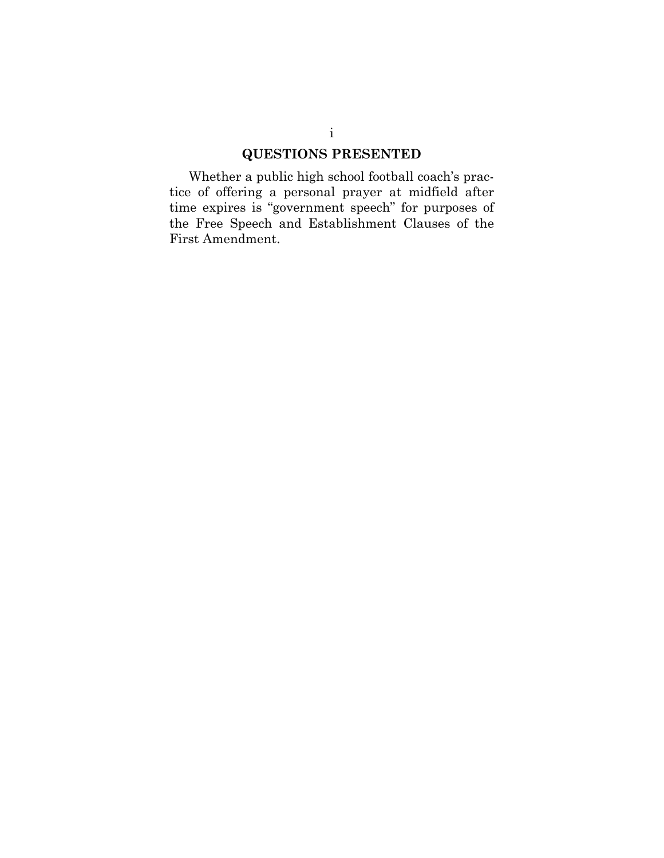## **QUESTIONS PRESENTED**

<span id="page-1-0"></span>Whether a public high school football coach's practice of offering a personal prayer at midfield after time expires is "government speech" for purposes of the Free Speech and Establishment Clauses of the First Amendment.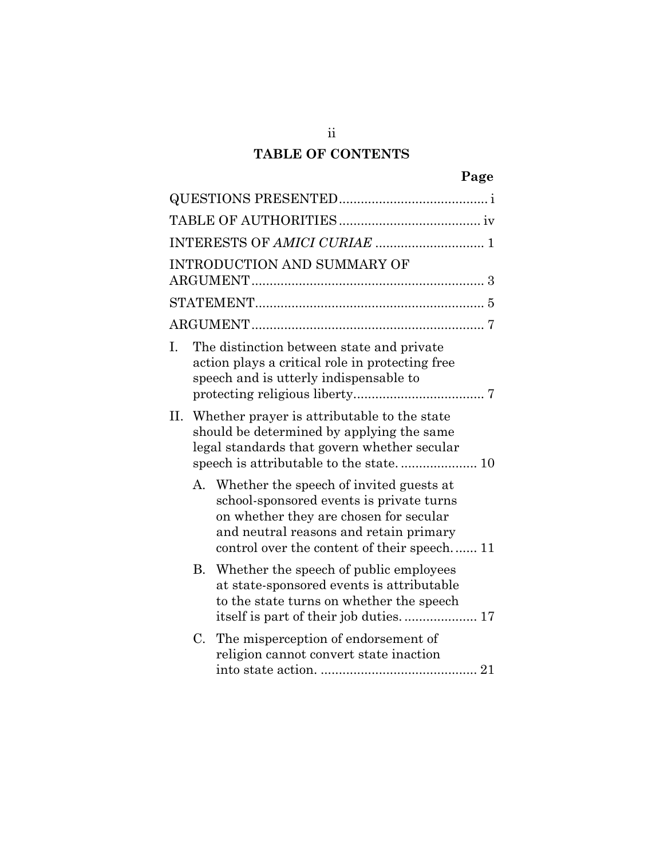# **TABLE OF CONTENTS**

|    |    | <b>INTRODUCTION AND SUMMARY OF</b>                                                                                                                                                                                     |  |
|----|----|------------------------------------------------------------------------------------------------------------------------------------------------------------------------------------------------------------------------|--|
|    |    |                                                                                                                                                                                                                        |  |
|    |    |                                                                                                                                                                                                                        |  |
| Ι. |    | The distinction between state and private<br>action plays a critical role in protecting free<br>speech and is utterly indispensable to                                                                                 |  |
| П. |    | Whether prayer is attributable to the state<br>should be determined by applying the same<br>legal standards that govern whether secular                                                                                |  |
|    | А. | Whether the speech of invited guests at<br>school-sponsored events is private turns<br>on whether they are chosen for secular<br>and neutral reasons and retain primary<br>control over the content of their speech 11 |  |
|    |    | B. Whether the speech of public employees<br>at state-sponsored events is attributable<br>to the state turns on whether the speech                                                                                     |  |
|    | C. | The misperception of endorsement of<br>religion cannot convert state inaction                                                                                                                                          |  |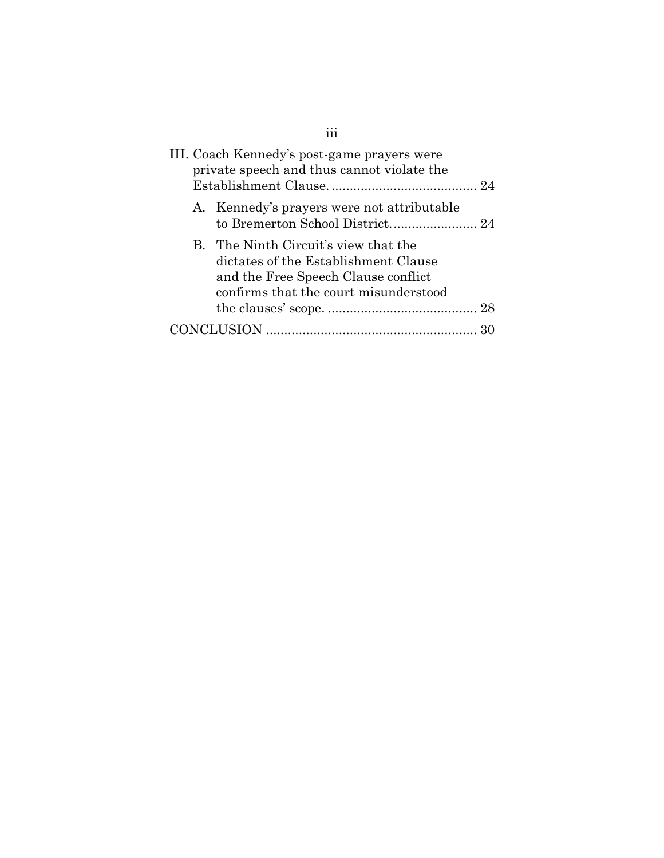| III. Coach Kennedy's post-game prayers were<br>private speech and thus cannot violate the                                                                    |
|--------------------------------------------------------------------------------------------------------------------------------------------------------------|
| A. Kennedy's prayers were not attributable                                                                                                                   |
| B. The Ninth Circuit's view that the<br>dictates of the Establishment Clause<br>and the Free Speech Clause conflict<br>confirms that the court misunderstood |
|                                                                                                                                                              |
|                                                                                                                                                              |

iii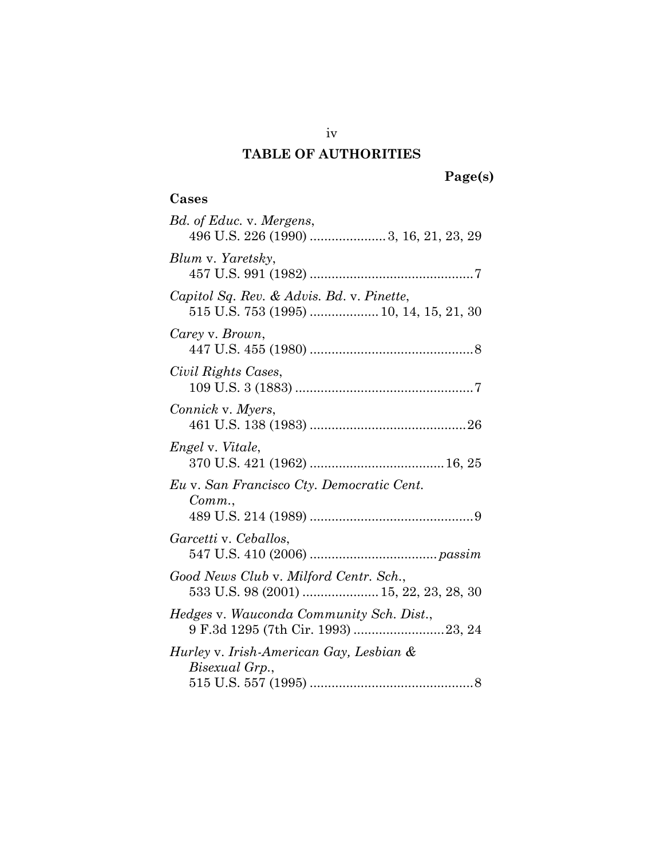# **TABLE OF AUTHORITIES**

# **Page(s)**

# <span id="page-4-0"></span>**Cases**

| Bd. of Educ. v. Mergens,<br>496 U.S. 226 (1990) 3, 16, 21, 23, 29                    |
|--------------------------------------------------------------------------------------|
| Blum v. Yaretsky,                                                                    |
| Capitol Sq. Rev. & Advis. Bd. v. Pinette,<br>515 U.S. 753 (1995)  10, 14, 15, 21, 30 |
| Carey v. Brown,                                                                      |
| Civil Rights Cases,                                                                  |
| Connick v. Myers,                                                                    |
| Engel v. Vitale,                                                                     |
| Eu v. San Francisco Cty. Democratic Cent.<br>Comm.                                   |
| Garcetti v. Ceballos,                                                                |
| Good News Club v. Milford Centr. Sch.,<br>533 U.S. 98 (2001)  15, 22, 23, 28, 30     |
| Hedges v. Wauconda Community Sch. Dist.,                                             |
| Hurley v. Irish-American Gay, Lesbian &<br>Bisexual Grp.,                            |

iv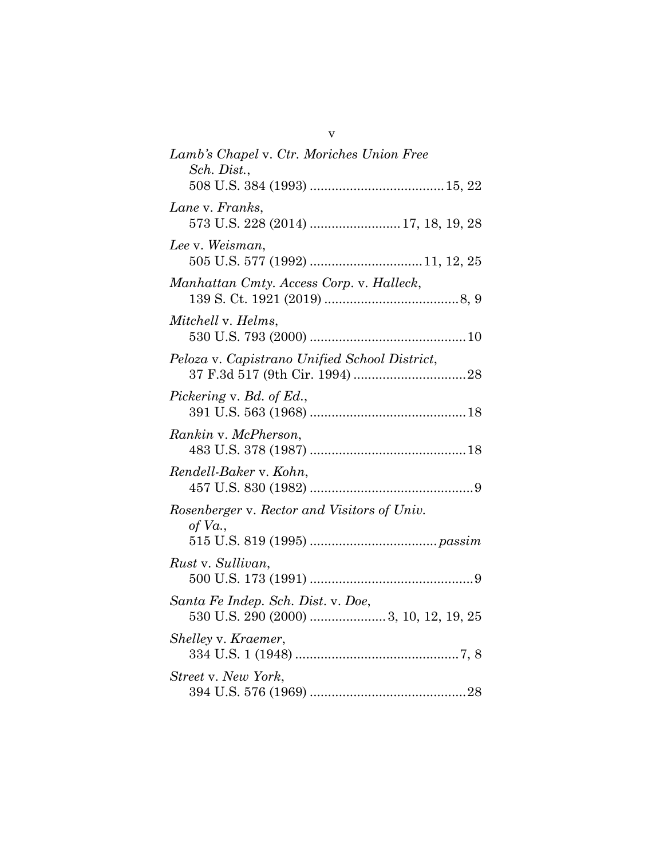| Lamb's Chapel v. Ctr. Moriches Union Free<br>Sch. Dist.,                    |
|-----------------------------------------------------------------------------|
|                                                                             |
| Lane v. Franks,<br>573 U.S. 228 (2014)  17, 18, 19, 28                      |
| Lee v. Weisman,                                                             |
| Manhattan Cmty. Access Corp. v. Halleck,                                    |
| Mitchell v. Helms,                                                          |
| Peloza v. Capistrano Unified School District,                               |
| Pickering v. Bd. of Ed.,                                                    |
| Rankin v. McPherson,                                                        |
| Rendell-Baker v. Kohn,                                                      |
| Rosenberger v. Rector and Visitors of Univ.                                 |
| of $Va$ .,                                                                  |
| Rust v. Sullivan,                                                           |
| Santa Fe Indep. Sch. Dist. v. Doe,<br>530 U.S. 290 (2000) 3, 10, 12, 19, 25 |
| Shelley v. Kraemer,                                                         |
| Street v. New York,                                                         |

v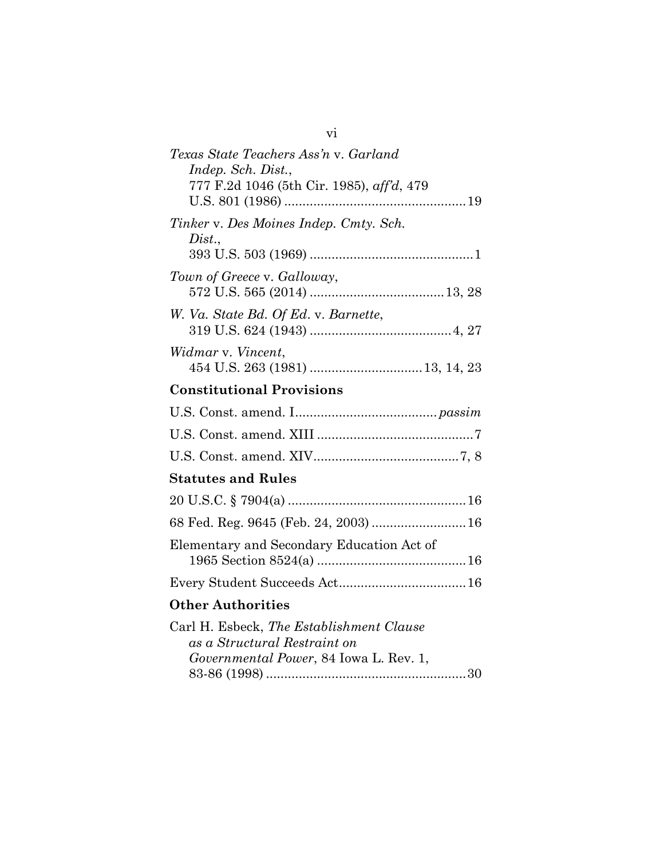| Texas State Teachers Ass'n v. Garland<br>Indep. Sch. Dist.,<br>777 F.2d 1046 (5th Cir. 1985), aff'd, 479                   |  |  |  |  |
|----------------------------------------------------------------------------------------------------------------------------|--|--|--|--|
| Tinker v. Des Moines Indep. Cmty. Sch.<br>Dist.                                                                            |  |  |  |  |
| Town of Greece v. Galloway,                                                                                                |  |  |  |  |
| W. Va. State Bd. Of Ed. v. Barnette,                                                                                       |  |  |  |  |
| Widmar v. Vincent,                                                                                                         |  |  |  |  |
| <b>Constitutional Provisions</b>                                                                                           |  |  |  |  |
|                                                                                                                            |  |  |  |  |
|                                                                                                                            |  |  |  |  |
|                                                                                                                            |  |  |  |  |
| <b>Statutes and Rules</b>                                                                                                  |  |  |  |  |
|                                                                                                                            |  |  |  |  |
| 68 Fed. Reg. 9645 (Feb. 24, 2003)  16                                                                                      |  |  |  |  |
| Elementary and Secondary Education Act of                                                                                  |  |  |  |  |
|                                                                                                                            |  |  |  |  |
| <b>Other Authorities</b>                                                                                                   |  |  |  |  |
| Carl H. Esbeck, The Establishment Clause<br>as a Structural Restraint on<br><i>Governmental Power</i> , 84 Iowa L. Rev. 1, |  |  |  |  |

vi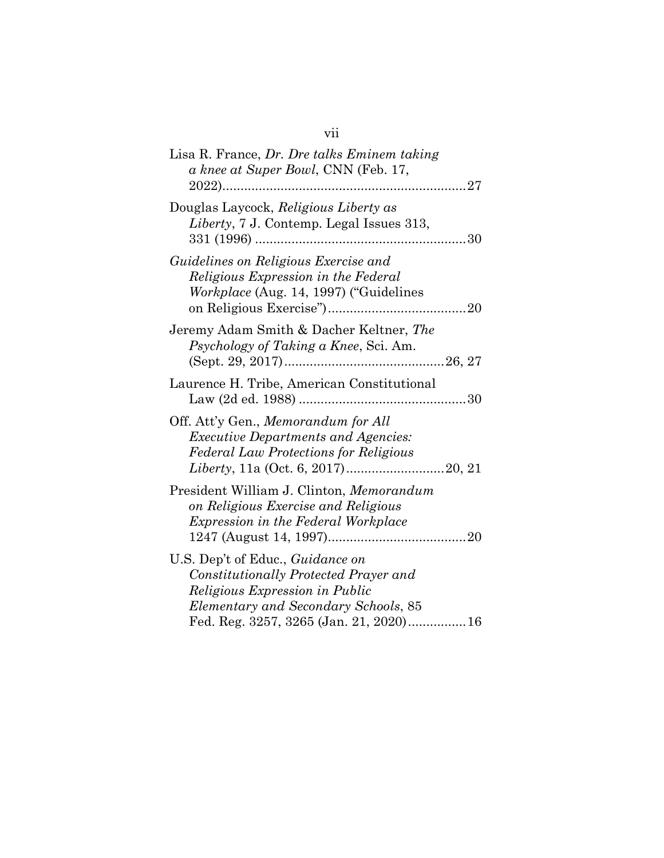# vii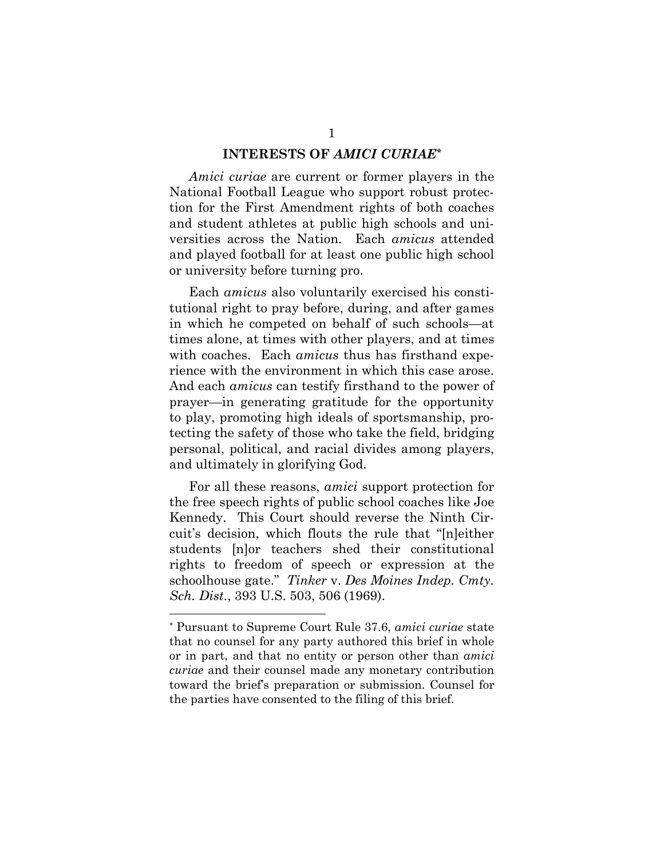#### **INTERESTS OF** *AMICI CURIAE\**

<span id="page-8-0"></span>*Amici curiae* are current or former players in the National Football League who support robust protection for the First Amendment rights of both coaches and student athletes at public high schools and universities across the Nation. Each *amicus* attended and played football for at least one public high school or university before turning pro.

Each *amicus* also voluntarily exercised his constitutional right to pray before, during, and after games in which he competed on behalf of such schools—at times alone, at times with other players, and at times with coaches. Each *amicus* thus has firsthand experience with the environment in which this case arose. And each *amicus* can testify firsthand to the power of prayer—in generating gratitude for the opportunity to play, promoting high ideals of sportsmanship, protecting the safety of those who take the field, bridging personal, political, and racial divides among players, and ultimately in glorifying God.

For all these reasons, *amici* support protection for the free speech rights of public school coaches like Joe Kennedy. This Court should reverse the Ninth Circuit's decision, which flouts the rule that "[n]either students [n]or teachers shed their constitutional rights to freedom of speech or expression at the schoolhouse gate." *Tinker* v. *Des Moines Indep. Cmty. Sch. Dist*., 393 U.S. 503, 506 (1969).

<span id="page-8-1"></span><sup>\*</sup> Pursuant to Supreme Court Rule 37.6, *amici curiae* state that no counsel for any party authored this brief in whole or in part, and that no entity or person other than *amici curiae* and their counsel made any monetary contribution toward the brief's preparation or submission. Counsel for the parties have consented to the filing of this brief.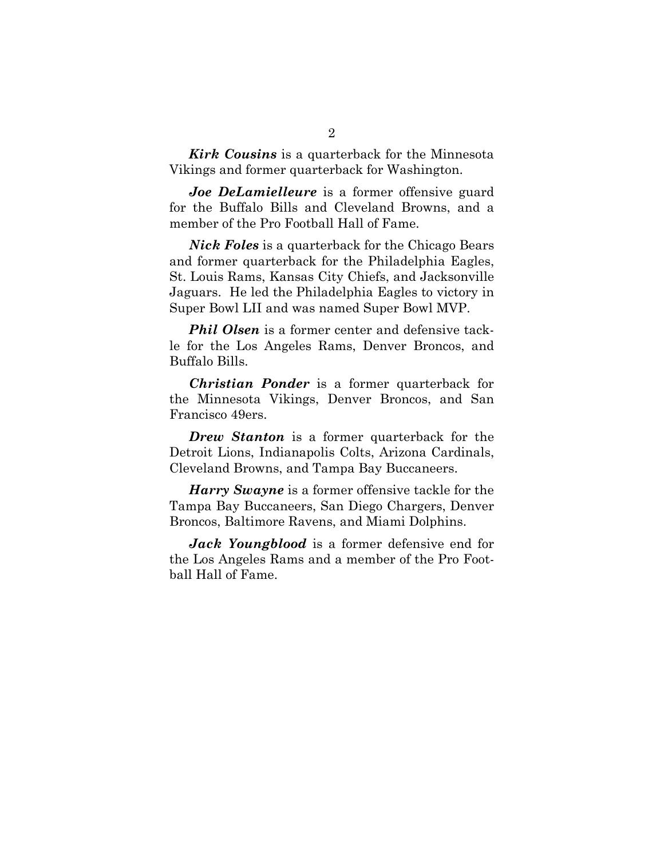*Kirk Cousins* is a quarterback for the Minnesota Vikings and former quarterback for Washington.

*Joe DeLamielleure* is a former offensive guard for the Buffalo Bills and Cleveland Browns, and a member of the Pro Football Hall of Fame.

*Nick Foles* is a quarterback for the Chicago Bears and former quarterback for the Philadelphia Eagles, St. Louis Rams, Kansas City Chiefs, and Jacksonville Jaguars. He led the Philadelphia Eagles to victory in Super Bowl LII and was named Super Bowl MVP.

*Phil Olsen* is a former center and defensive tackle for the Los Angeles Rams, Denver Broncos, and Buffalo Bills.

*Christian Ponder* is a former quarterback for the Minnesota Vikings, Denver Broncos, and San Francisco 49ers.

*Drew Stanton* is a former quarterback for the Detroit Lions, Indianapolis Colts, Arizona Cardinals, Cleveland Browns, and Tampa Bay Buccaneers.

*Harry Swayne* is a former offensive tackle for the Tampa Bay Buccaneers, San Diego Chargers, Denver Broncos, Baltimore Ravens, and Miami Dolphins.

*Jack Youngblood* is a former defensive end for the Los Angeles Rams and a member of the Pro Football Hall of Fame.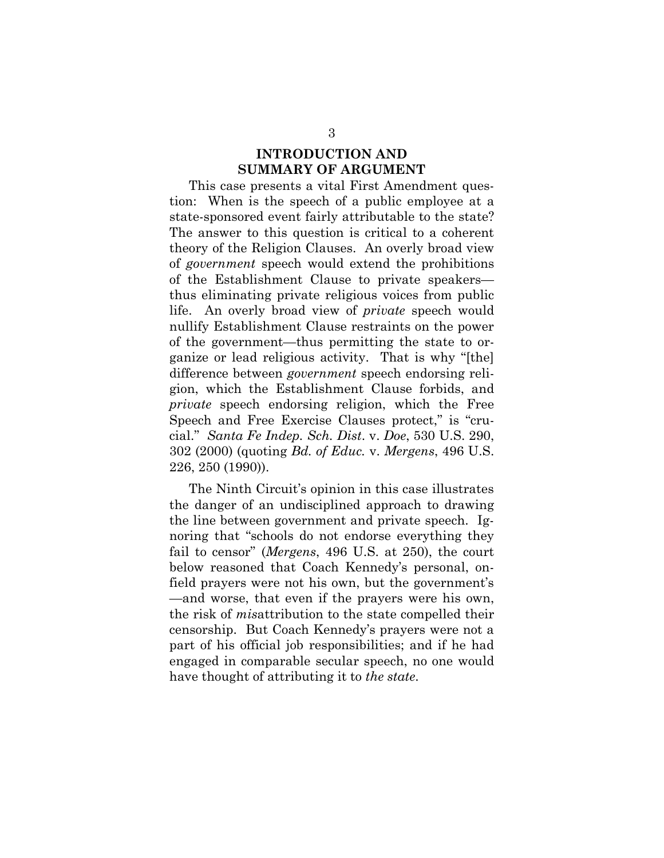#### **INTRODUCTION AND SUMMARY OF ARGUMENT**

<span id="page-10-0"></span>This case presents a vital First Amendment question: When is the speech of a public employee at a state-sponsored event fairly attributable to the state? The answer to this question is critical to a coherent theory of the Religion Clauses. An overly broad view of *government* speech would extend the prohibitions of the Establishment Clause to private speakers thus eliminating private religious voices from public life. An overly broad view of *private* speech would nullify Establishment Clause restraints on the power of the government—thus permitting the state to organize or lead religious activity. That is why "[the] difference between *government* speech endorsing religion, which the Establishment Clause forbids, and *private* speech endorsing religion, which the Free Speech and Free Exercise Clauses protect," is "crucial." *Santa Fe Indep. Sch. Dist*. v. *Doe*, 530 U.S. 290, 302 (2000) (quoting *Bd. of Educ.* v. *Mergens*, 496 U.S. 226, 250 (1990)).

<span id="page-10-2"></span><span id="page-10-1"></span>The Ninth Circuit's opinion in this case illustrates the danger of an undisciplined approach to drawing the line between government and private speech. Ignoring that "schools do not endorse everything they fail to censor" (*Mergens*, 496 U.S. at 250), the court below reasoned that Coach Kennedy's personal, onfield prayers were not his own, but the government's —and worse, that even if the prayers were his own, the risk of *mis*attribution to the state compelled their censorship. But Coach Kennedy's prayers were not a part of his official job responsibilities; and if he had engaged in comparable secular speech, no one would have thought of attributing it to *the state*.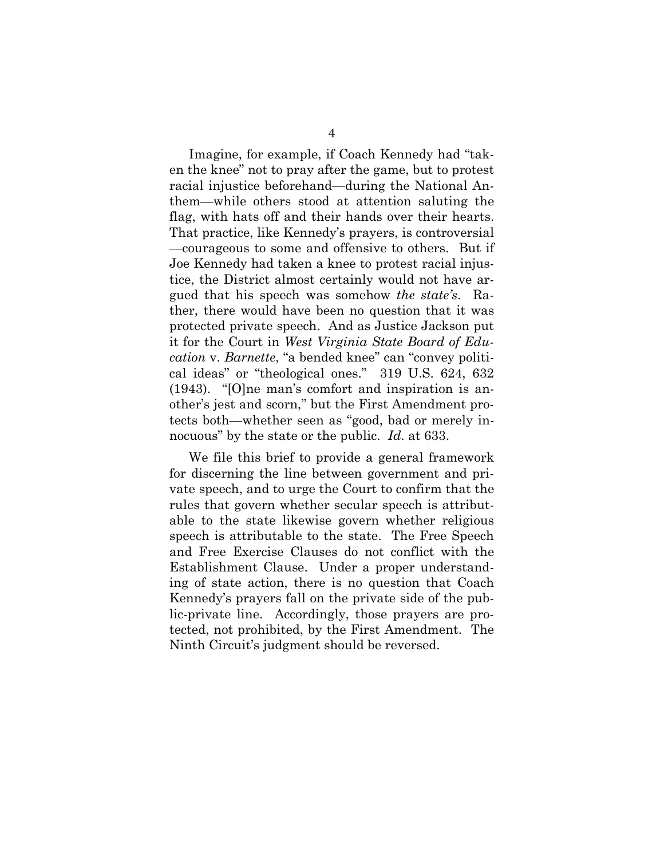Imagine, for example, if Coach Kennedy had "taken the knee" not to pray after the game, but to protest racial injustice beforehand—during the National Anthem—while others stood at attention saluting the flag, with hats off and their hands over their hearts. That practice, like Kennedy's prayers, is controversial —courageous to some and offensive to others. But if Joe Kennedy had taken a knee to protest racial injustice, the District almost certainly would not have argued that his speech was somehow *the state's*. Rather, there would have been no question that it was protected private speech. And as Justice Jackson put it for the Court in *West Virginia State Board of Education* v. *Barnette*, "a bended knee" can "convey political ideas" or "theological ones." 319 U.S. 624, 632 (1943). "[O]ne man's comfort and inspiration is another's jest and scorn," but the First Amendment protects both—whether seen as "good, bad or merely innocuous" by the state or the public. *Id*. at 633.

<span id="page-11-0"></span>We file this brief to provide a general framework for discerning the line between government and private speech, and to urge the Court to confirm that the rules that govern whether secular speech is attributable to the state likewise govern whether religious speech is attributable to the state. The Free Speech and Free Exercise Clauses do not conflict with the Establishment Clause. Under a proper understanding of state action, there is no question that Coach Kennedy's prayers fall on the private side of the public-private line. Accordingly, those prayers are protected, not prohibited, by the First Amendment. The Ninth Circuit's judgment should be reversed.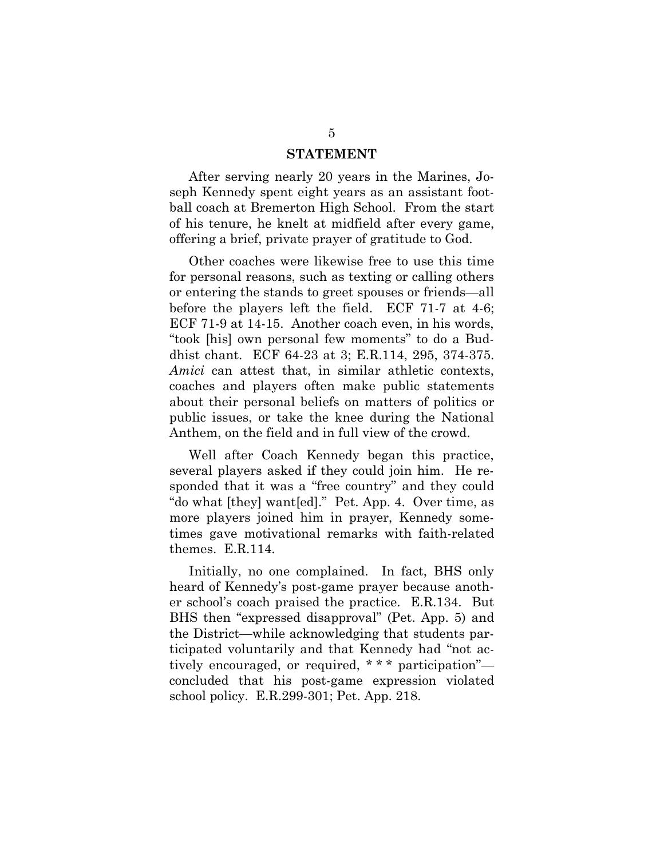#### **STATEMENT**

<span id="page-12-0"></span>After serving nearly 20 years in the Marines, Joseph Kennedy spent eight years as an assistant football coach at Bremerton High School. From the start of his tenure, he knelt at midfield after every game, offering a brief, private prayer of gratitude to God.

Other coaches were likewise free to use this time for personal reasons, such as texting or calling others or entering the stands to greet spouses or friends—all before the players left the field. ECF 71-7 at 4-6; ECF 71-9 at 14-15. Another coach even, in his words, "took [his] own personal few moments" to do a Buddhist chant. ECF 64-23 at 3; E.R.114, 295, 374-375. *Amici* can attest that, in similar athletic contexts, coaches and players often make public statements about their personal beliefs on matters of politics or public issues, or take the knee during the National Anthem, on the field and in full view of the crowd.

Well after Coach Kennedy began this practice, several players asked if they could join him. He responded that it was a "free country" and they could "do what [they] want[ed]." Pet. App. 4. Over time, as more players joined him in prayer, Kennedy sometimes gave motivational remarks with faith-related themes. E.R.114.

Initially, no one complained. In fact, BHS only heard of Kennedy's post-game prayer because another school's coach praised the practice. E.R.134. But BHS then "expressed disapproval" (Pet. App. 5) and the District—while acknowledging that students participated voluntarily and that Kennedy had "not actively encouraged, or required, \* \* \* participation" concluded that his post-game expression violated school policy. E.R.299-301; Pet. App. 218.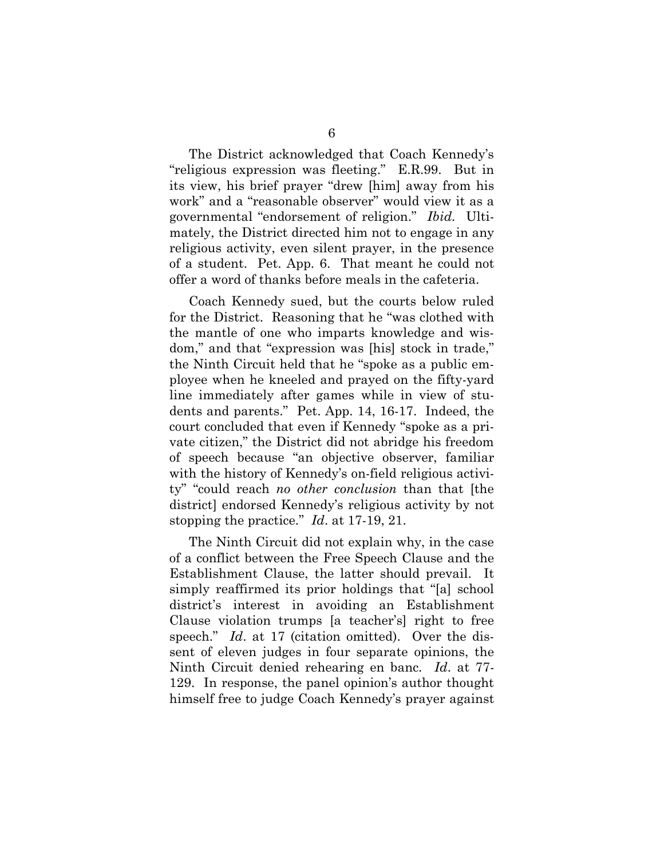The District acknowledged that Coach Kennedy's "religious expression was fleeting." E.R.99. But in its view, his brief prayer "drew [him] away from his work" and a "reasonable observer" would view it as a governmental "endorsement of religion." *Ibid.* Ultimately, the District directed him not to engage in any religious activity, even silent prayer, in the presence of a student. Pet. App. 6. That meant he could not offer a word of thanks before meals in the cafeteria.

Coach Kennedy sued, but the courts below ruled for the District. Reasoning that he "was clothed with the mantle of one who imparts knowledge and wisdom," and that "expression was [his] stock in trade," the Ninth Circuit held that he "spoke as a public employee when he kneeled and prayed on the fifty-yard line immediately after games while in view of students and parents." Pet. App. 14, 16-17. Indeed, the court concluded that even if Kennedy "spoke as a private citizen," the District did not abridge his freedom of speech because "an objective observer, familiar with the history of Kennedy's on-field religious activity" "could reach *no other conclusion* than that [the district] endorsed Kennedy's religious activity by not stopping the practice." *Id*. at 17-19, 21.

The Ninth Circuit did not explain why, in the case of a conflict between the Free Speech Clause and the Establishment Clause, the latter should prevail. It simply reaffirmed its prior holdings that "[a] school district's interest in avoiding an Establishment Clause violation trumps [a teacher's] right to free speech." *Id*. at 17 (citation omitted). Over the dissent of eleven judges in four separate opinions, the Ninth Circuit denied rehearing en banc. *Id*. at 77- 129. In response, the panel opinion's author thought himself free to judge Coach Kennedy's prayer against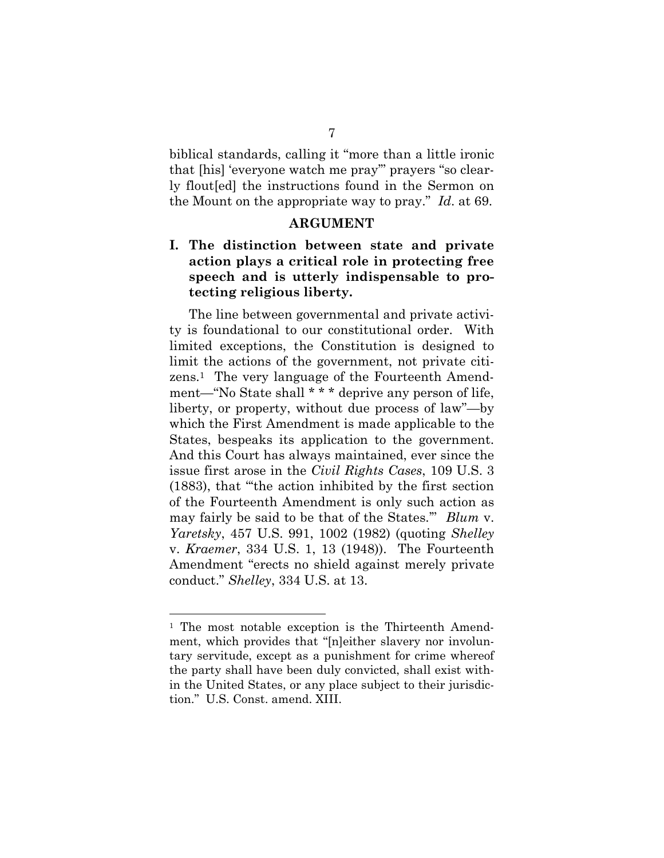biblical standards, calling it "more than a little ironic that [his] 'everyone watch me pray'" prayers "so clearly flout[ed] the instructions found in the Sermon on the Mount on the appropriate way to pray." *Id*. at 69.

#### **ARGUMENT**

#### <span id="page-14-1"></span><span id="page-14-0"></span>**I. The distinction between state and private action plays a critical role in protecting free speech and is utterly indispensable to protecting religious liberty.**

<span id="page-14-3"></span>The line between governmental and private activity is foundational to our constitutional order. With limited exceptions, the Constitution is designed to limit the actions of the government, not private citizens.1 The very language of the Fourteenth Amendment—"No State shall \* \* \* deprive any person of life, liberty, or property, without due process of law"—by which the First Amendment is made applicable to the States, bespeaks its application to the government. And this Court has always maintained, ever since the issue first arose in the *Civil Rights Cases*, 109 U.S. 3 (1883), that "'the action inhibited by the first section of the Fourteenth Amendment is only such action as may fairly be said to be that of the States.'" *Blum* v. *Yaretsky*, 457 U.S. 991, 1002 (1982) (quoting *Shelley*  v. *Kraemer*, 334 U.S. 1, 13 (1948)). The Fourteenth Amendment "erects no shield against merely private conduct." *Shelley*, 334 U.S. at 13.

<span id="page-14-6"></span><span id="page-14-5"></span><span id="page-14-4"></span><span id="page-14-2"></span><sup>&</sup>lt;sup>1</sup> The most notable exception is the Thirteenth Amendment, which provides that "[n]either slavery nor involuntary servitude, except as a punishment for crime whereof the party shall have been duly convicted, shall exist within the United States, or any place subject to their jurisdiction." U.S. Const. amend. XIII.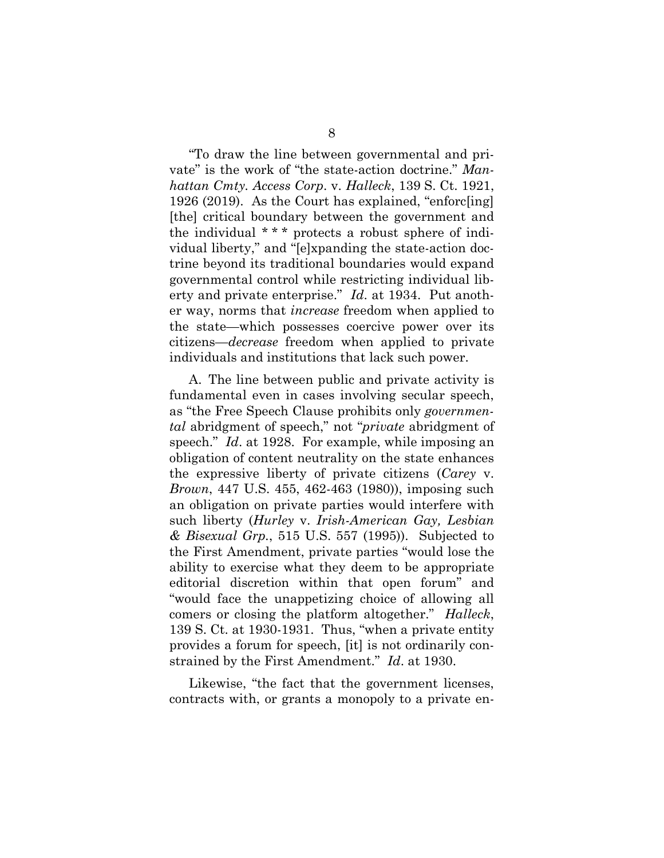<span id="page-15-2"></span>"To draw the line between governmental and private" is the work of "the state-action doctrine." *Manhattan Cmty. Access Corp*. v. *Halleck*, 139 S. Ct. 1921, 1926 (2019). As the Court has explained, "enforc[ing] [the] critical boundary between the government and the individual \* \* \* protects a robust sphere of individual liberty," and "[e]xpanding the state-action doctrine beyond its traditional boundaries would expand governmental control while restricting individual liberty and private enterprise." *Id*. at 1934. Put another way, norms that *increase* freedom when applied to the state—which possesses coercive power over its citizens—*decrease* freedom when applied to private individuals and institutions that lack such power.

<span id="page-15-1"></span><span id="page-15-0"></span>A. The line between public and private activity is fundamental even in cases involving secular speech, as "the Free Speech Clause prohibits only *governmental* abridgment of speech," not "*private* abridgment of speech." *Id*. at 1928. For example, while imposing an obligation of content neutrality on the state enhances the expressive liberty of private citizens (*Carey* v. *Brown*, 447 U.S. 455, 462-463 (1980)), imposing such an obligation on private parties would interfere with such liberty (*Hurley* v. *Irish-American Gay, Lesbian & Bisexual Grp.*, 515 U.S. 557 (1995)). Subjected to the First Amendment, private parties "would lose the ability to exercise what they deem to be appropriate editorial discretion within that open forum" and "would face the unappetizing choice of allowing all comers or closing the platform altogether." *Halleck*, 139 S. Ct. at 1930-1931. Thus, "when a private entity provides a forum for speech, [it] is not ordinarily constrained by the First Amendment." *Id*. at 1930.

<span id="page-15-3"></span>Likewise, "the fact that the government licenses, contracts with, or grants a monopoly to a private en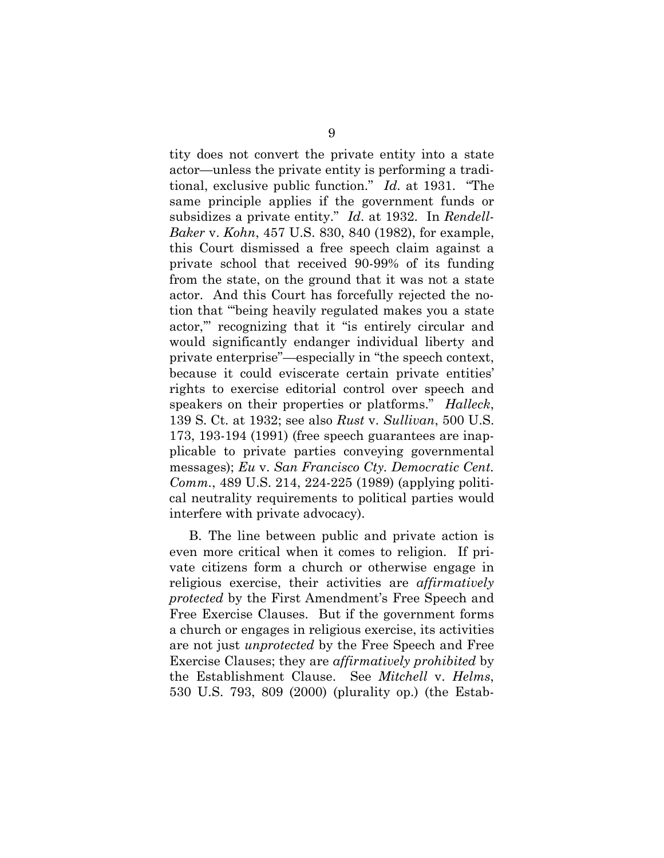<span id="page-16-2"></span>tity does not convert the private entity into a state actor—unless the private entity is performing a traditional, exclusive public function." *Id*. at 1931. "The same principle applies if the government funds or subsidizes a private entity." *Id*. at 1932. In *Rendell-Baker* v. *Kohn*, 457 U.S. 830, 840 (1982), for example, this Court dismissed a free speech claim against a private school that received 90-99% of its funding from the state, on the ground that it was not a state actor. And this Court has forcefully rejected the notion that "'being heavily regulated makes you a state actor,'" recognizing that it "is entirely circular and would significantly endanger individual liberty and private enterprise"—especially in "the speech context, because it could eviscerate certain private entities' rights to exercise editorial control over speech and speakers on their properties or platforms." *Halleck*, 139 S. Ct. at 1932; see also *Rust* v. *Sullivan*, 500 U.S. 173, 193-194 (1991) (free speech guarantees are inapplicable to private parties conveying governmental messages); *Eu* v. *San Francisco Cty. Democratic Cent. Comm.*, 489 U.S. 214, 224-225 (1989) (applying political neutrality requirements to political parties would interfere with private advocacy).

<span id="page-16-3"></span><span id="page-16-1"></span><span id="page-16-0"></span>B. The line between public and private action is even more critical when it comes to religion. If private citizens form a church or otherwise engage in religious exercise, their activities are *affirmatively protected* by the First Amendment's Free Speech and Free Exercise Clauses. But if the government forms a church or engages in religious exercise, its activities are not just *unprotected* by the Free Speech and Free Exercise Clauses; they are *affirmatively prohibited* by the Establishment Clause. See *Mitchell* v. *Helms*, 530 U.S. 793, 809 (2000) (plurality op.) (the Estab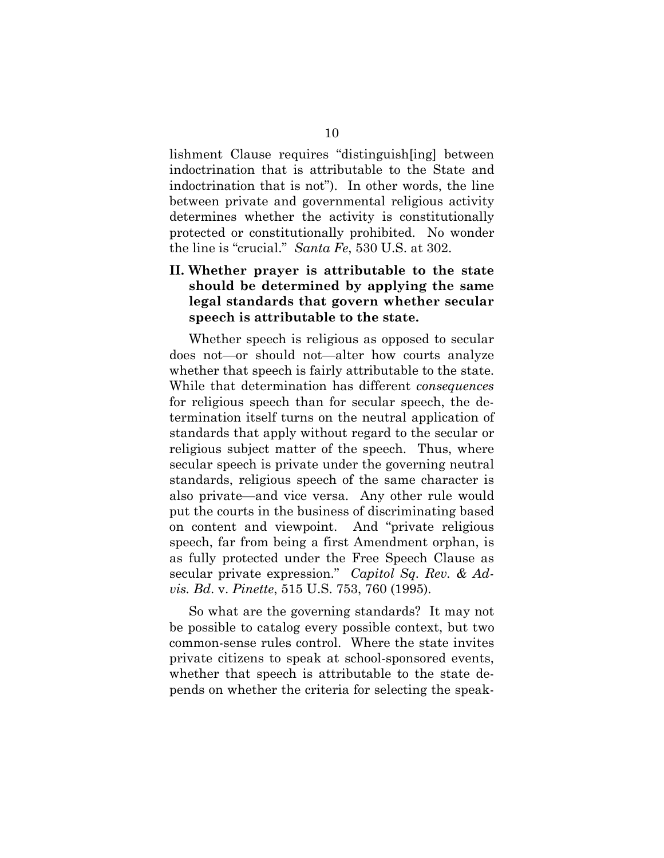lishment Clause requires "distinguish[ing] between indoctrination that is attributable to the State and indoctrination that is not"). In other words, the line between private and governmental religious activity determines whether the activity is constitutionally protected or constitutionally prohibited. No wonder the line is "crucial." *Santa Fe*, 530 U.S. at 302.

### <span id="page-17-2"></span><span id="page-17-0"></span>**II. Whether prayer is attributable to the state should be determined by applying the same legal standards that govern whether secular speech is attributable to the state.**

Whether speech is religious as opposed to secular does not—or should not—alter how courts analyze whether that speech is fairly attributable to the state. While that determination has different *consequences* for religious speech than for secular speech, the determination itself turns on the neutral application of standards that apply without regard to the secular or religious subject matter of the speech. Thus, where secular speech is private under the governing neutral standards, religious speech of the same character is also private—and vice versa. Any other rule would put the courts in the business of discriminating based on content and viewpoint. And "private religious speech, far from being a first Amendment orphan, is as fully protected under the Free Speech Clause as secular private expression." *Capitol Sq. Rev. & Advis. Bd*. v. *Pinette*, 515 U.S. 753, 760 (1995).

<span id="page-17-1"></span>So what are the governing standards? It may not be possible to catalog every possible context, but two common-sense rules control. Where the state invites private citizens to speak at school-sponsored events, whether that speech is attributable to the state depends on whether the criteria for selecting the speak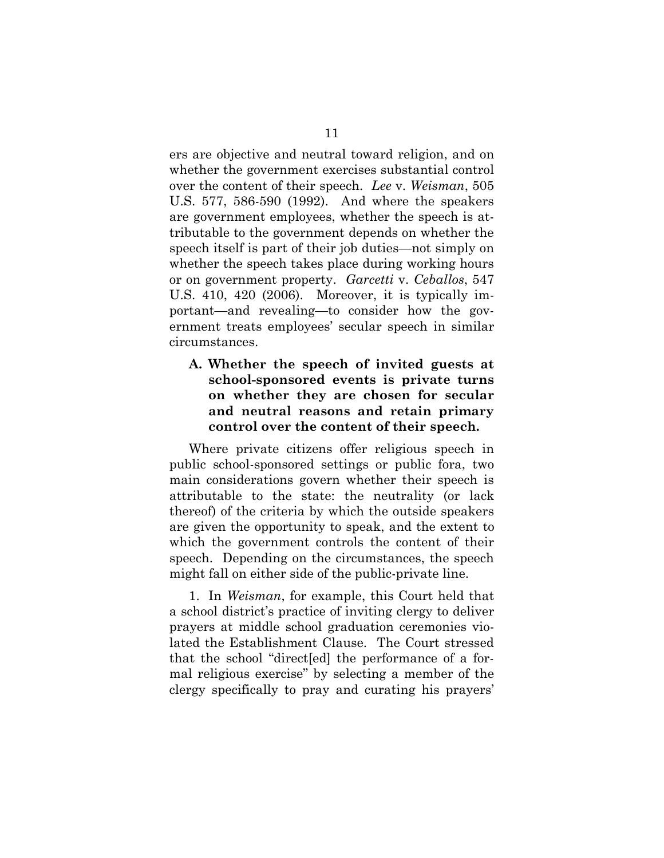<span id="page-18-1"></span>ers are objective and neutral toward religion, and on whether the government exercises substantial control over the content of their speech. *Lee* v. *Weisman*, 505 U.S. 577, 586-590 (1992). And where the speakers are government employees, whether the speech is attributable to the government depends on whether the speech itself is part of their job duties—not simply on whether the speech takes place during working hours or on government property. *Garcetti* v. *Ceballos*, 547 U.S. 410, 420 (2006). Moreover, it is typically important—and revealing—to consider how the government treats employees' secular speech in similar circumstances.

### <span id="page-18-0"></span>**A. Whether the speech of invited guests at school-sponsored events is private turns on whether they are chosen for secular and neutral reasons and retain primary control over the content of their speech.**

Where private citizens offer religious speech in public school-sponsored settings or public fora, two main considerations govern whether their speech is attributable to the state: the neutrality (or lack thereof) of the criteria by which the outside speakers are given the opportunity to speak, and the extent to which the government controls the content of their speech. Depending on the circumstances, the speech might fall on either side of the public-private line.

1. In *Weisman*, for example, this Court held that a school district's practice of inviting clergy to deliver prayers at middle school graduation ceremonies violated the Establishment Clause. The Court stressed that the school "direct[ed] the performance of a formal religious exercise" by selecting a member of the clergy specifically to pray and curating his prayers'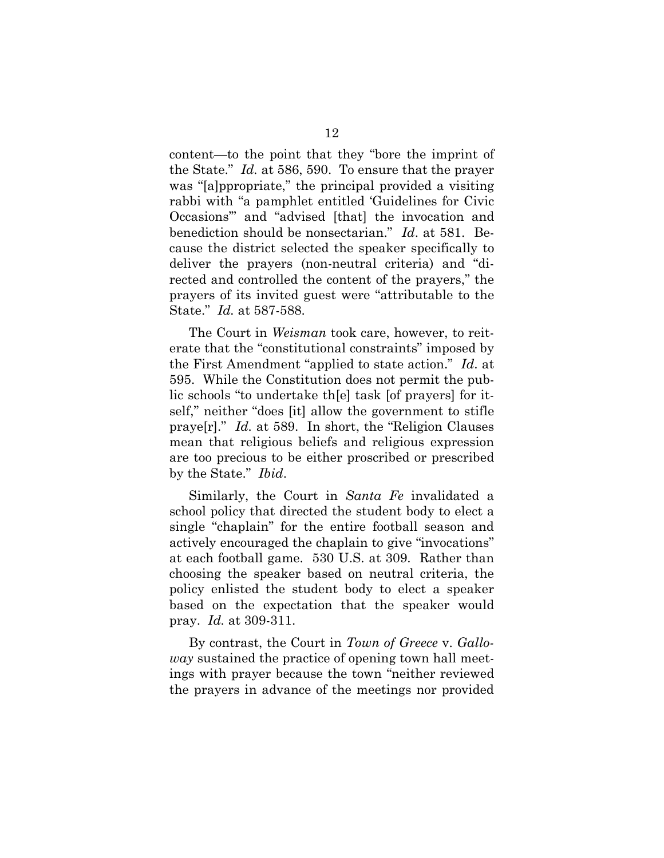<span id="page-19-0"></span>content—to the point that they "bore the imprint of the State." *Id.* at 586, 590. To ensure that the prayer was "[a]ppropriate," the principal provided a visiting rabbi with "a pamphlet entitled 'Guidelines for Civic Occasions'" and "advised [that] the invocation and benediction should be nonsectarian." *Id*. at 581. Because the district selected the speaker specifically to deliver the prayers (non-neutral criteria) and "directed and controlled the content of the prayers," the prayers of its invited guest were "attributable to the State." *Id.* at 587-588.

The Court in *Weisman* took care, however, to reiterate that the "constitutional constraints" imposed by the First Amendment "applied to state action." *Id*. at 595. While the Constitution does not permit the public schools "to undertake th[e] task [of prayers] for itself," neither "does [it] allow the government to stifle praye[r]." *Id.* at 589. In short, the "Religion Clauses mean that religious beliefs and religious expression are too precious to be either proscribed or prescribed by the State." *Ibid*.

<span id="page-19-1"></span>Similarly, the Court in *Santa Fe* invalidated a school policy that directed the student body to elect a single "chaplain" for the entire football season and actively encouraged the chaplain to give "invocations" at each football game. 530 U.S. at 309. Rather than choosing the speaker based on neutral criteria, the policy enlisted the student body to elect a speaker based on the expectation that the speaker would pray. *Id.* at 309-311.

<span id="page-19-2"></span>By contrast, the Court in *Town of Greece* v. *Galloway* sustained the practice of opening town hall meetings with prayer because the town "neither reviewed the prayers in advance of the meetings nor provided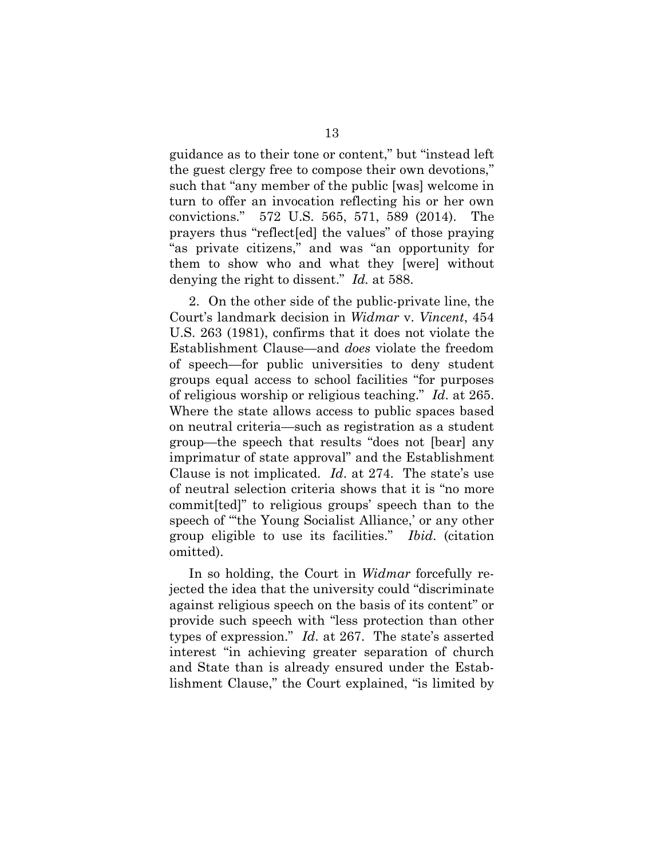guidance as to their tone or content," but "instead left the guest clergy free to compose their own devotions," such that "any member of the public [was] welcome in turn to offer an invocation reflecting his or her own convictions." 572 U.S. 565, 571, 589 (2014). The prayers thus "reflect[ed] the values" of those praying "as private citizens," and was "an opportunity for them to show who and what they [were] without denying the right to dissent." *Id.* at 588.

<span id="page-20-0"></span>2. On the other side of the public-private line, the Court's landmark decision in *Widmar* v. *Vincent*, 454 U.S. 263 (1981), confirms that it does not violate the Establishment Clause—and *does* violate the freedom of speech—for public universities to deny student groups equal access to school facilities "for purposes of religious worship or religious teaching." *Id*. at 265. Where the state allows access to public spaces based on neutral criteria—such as registration as a student group—the speech that results "does not [bear] any imprimatur of state approval" and the Establishment Clause is not implicated. *Id*. at 274. The state's use of neutral selection criteria shows that it is "no more commit[ted]" to religious groups' speech than to the speech of "'the Young Socialist Alliance,' or any other group eligible to use its facilities." *Ibid*. (citation omitted).

In so holding, the Court in *Widmar* forcefully rejected the idea that the university could "discriminate against religious speech on the basis of its content" or provide such speech with "less protection than other types of expression." *Id*. at 267. The state's asserted interest "in achieving greater separation of church and State than is already ensured under the Establishment Clause," the Court explained, "is limited by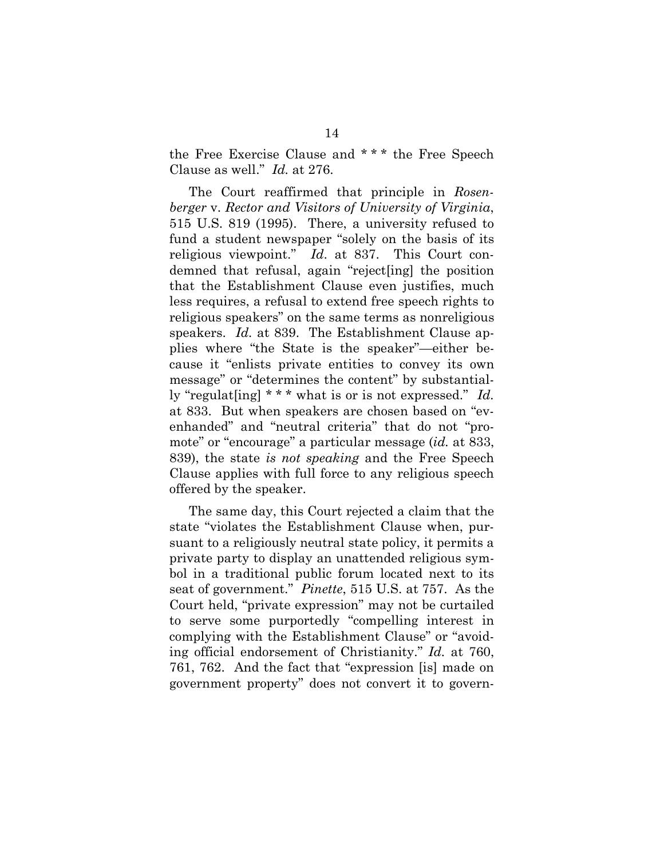<span id="page-21-1"></span>the Free Exercise Clause and \* \* \* the Free Speech Clause as well." *Id.* at 276.

The Court reaffirmed that principle in *Rosenberger* v. *Rector and Visitors of University of Virginia*, 515 U.S. 819 (1995). There, a university refused to fund a student newspaper "solely on the basis of its religious viewpoint." *Id*. at 837. This Court condemned that refusal, again "reject[ing] the position that the Establishment Clause even justifies, much less requires, a refusal to extend free speech rights to religious speakers" on the same terms as nonreligious speakers. *Id.* at 839. The Establishment Clause applies where "the State is the speaker"—either because it "enlists private entities to convey its own message" or "determines the content" by substantially "regulat[ing] \* \* \* what is or is not expressed." *Id.*  at 833. But when speakers are chosen based on "evenhanded" and "neutral criteria" that do not "promote" or "encourage" a particular message (*id.* at 833, 839), the state *is not speaking* and the Free Speech Clause applies with full force to any religious speech offered by the speaker.

<span id="page-21-0"></span>The same day, this Court rejected a claim that the state "violates the Establishment Clause when, pursuant to a religiously neutral state policy, it permits a private party to display an unattended religious symbol in a traditional public forum located next to its seat of government." *Pinette*, 515 U.S. at 757. As the Court held, "private expression" may not be curtailed to serve some purportedly "compelling interest in complying with the Establishment Clause" or "avoiding official endorsement of Christianity." *Id.* at 760, 761, 762. And the fact that "expression [is] made on government property" does not convert it to govern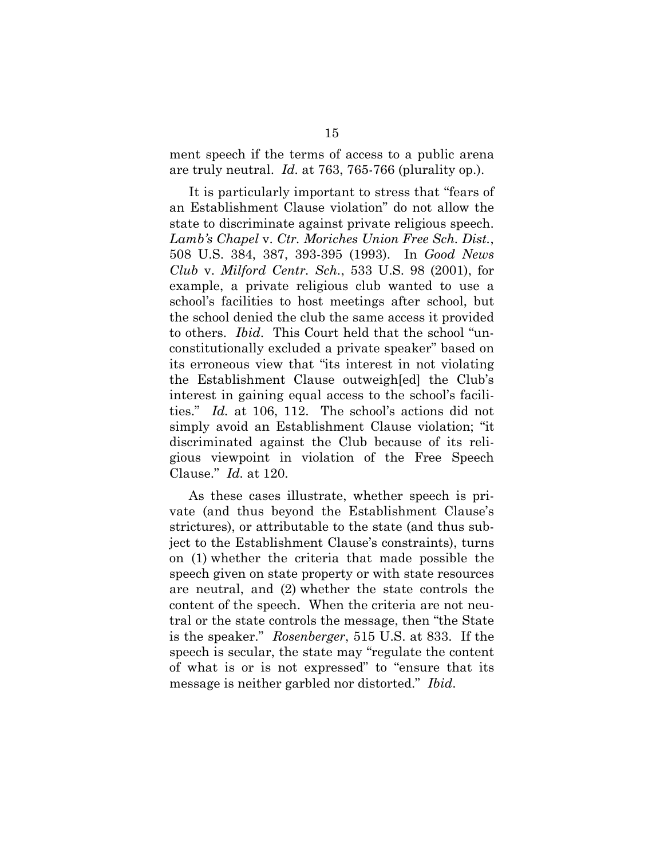<span id="page-22-0"></span>ment speech if the terms of access to a public arena are truly neutral. *Id.* at 763, 765-766 (plurality op.).

<span id="page-22-2"></span><span id="page-22-1"></span>It is particularly important to stress that "fears of an Establishment Clause violation" do not allow the state to discriminate against private religious speech. *Lamb's Chapel* v. *Ctr. Moriches Union Free Sch. Dist.*, 508 U.S. 384, 387, 393-395 (1993). In *Good News Club* v. *Milford Centr. Sch.*, 533 U.S. 98 (2001), for example, a private religious club wanted to use a school's facilities to host meetings after school, but the school denied the club the same access it provided to others. *Ibid*. This Court held that the school "unconstitutionally excluded a private speaker" based on its erroneous view that "its interest in not violating the Establishment Clause outweigh[ed] the Club's interest in gaining equal access to the school's facilities." *Id.* at 106, 112. The school's actions did not simply avoid an Establishment Clause violation; "it discriminated against the Club because of its religious viewpoint in violation of the Free Speech Clause." *Id.* at 120.

As these cases illustrate, whether speech is private (and thus beyond the Establishment Clause's strictures), or attributable to the state (and thus subject to the Establishment Clause's constraints), turns on (1) whether the criteria that made possible the speech given on state property or with state resources are neutral, and (2) whether the state controls the content of the speech. When the criteria are not neutral or the state controls the message, then "the State is the speaker." *Rosenberger*, 515 U.S. at 833. If the speech is secular, the state may "regulate the content of what is or is not expressed" to "ensure that its message is neither garbled nor distorted." *Ibid*.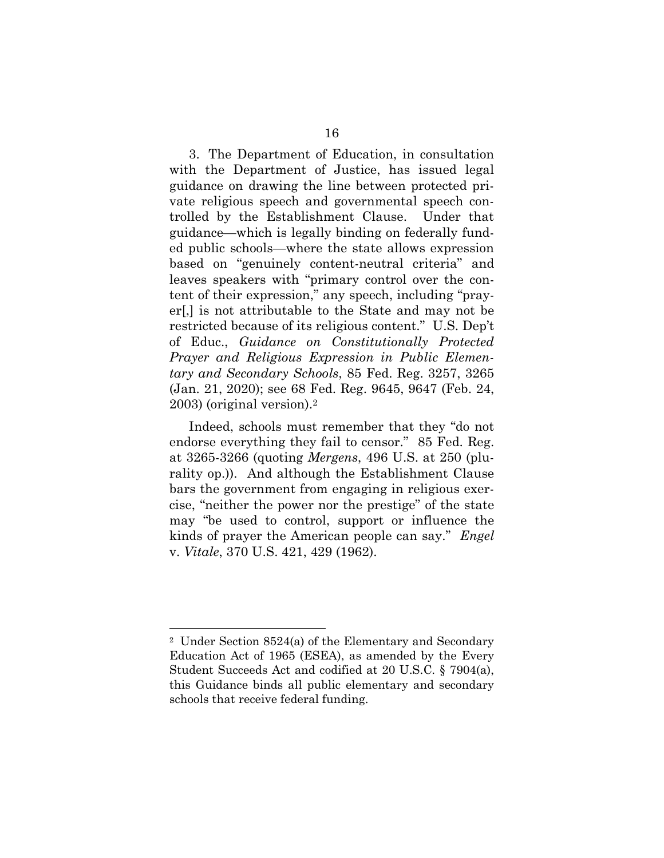3. The Department of Education, in consultation with the Department of Justice, has issued legal guidance on drawing the line between protected private religious speech and governmental speech controlled by the Establishment Clause. Under that guidance—which is legally binding on federally funded public schools—where the state allows expression based on "genuinely content-neutral criteria" and leaves speakers with "primary control over the content of their expression," any speech, including "prayer[,] is not attributable to the State and may not be restricted because of its religious content." U.S. Dep't of Educ., *Guidance on Constitutionally Protected Prayer and Religious Expression in Public Elementary and Secondary Schools*, 85 Fed. Reg. 3257, 3265 (Jan. 21, 2020); see 68 Fed. Reg. 9645, 9647 (Feb. 24, 2003) (original version).<sup>2</sup>

<span id="page-23-6"></span><span id="page-23-3"></span><span id="page-23-1"></span><span id="page-23-0"></span>Indeed, schools must remember that they "do not endorse everything they fail to censor." 85 Fed. Reg. at 3265-3266 (quoting *Mergens*, 496 U.S. at 250 (plurality op.)). And although the Establishment Clause bars the government from engaging in religious exercise, "neither the power nor the prestige" of the state may "be used to control, support or influence the kinds of prayer the American people can say." *Engel*  v. *Vitale*, 370 U.S. 421, 429 (1962).

<span id="page-23-5"></span><span id="page-23-4"></span><span id="page-23-2"></span><sup>2</sup> Under Section 8524(a) of the Elementary and Secondary Education Act of 1965 (ESEA), as amended by the Every Student Succeeds Act and codified at 20 U.S.C. § 7904(a), this Guidance binds all public elementary and secondary schools that receive federal funding.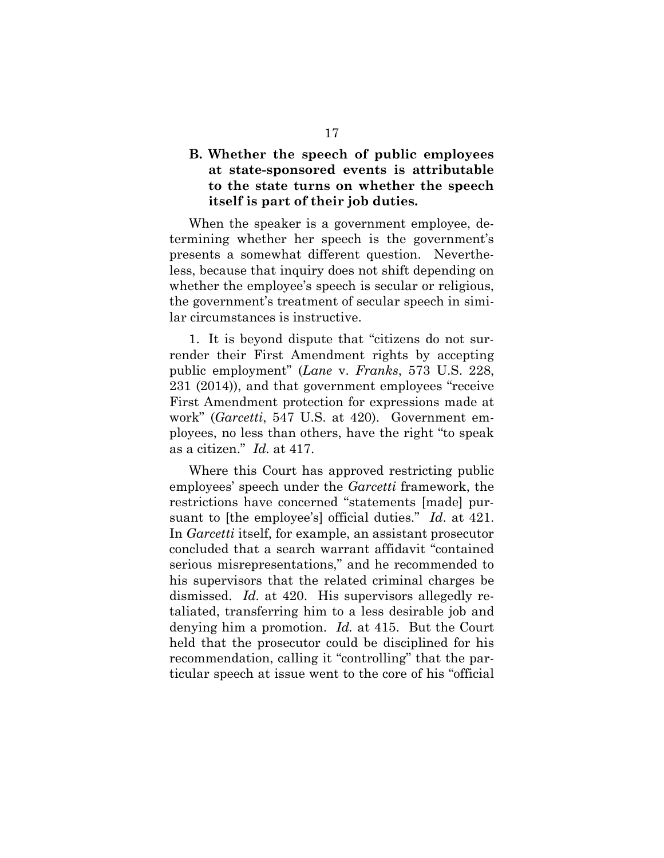### <span id="page-24-0"></span>**B. Whether the speech of public employees at state-sponsored events is attributable to the state turns on whether the speech itself is part of their job duties.**

When the speaker is a government employee, determining whether her speech is the government's presents a somewhat different question. Nevertheless, because that inquiry does not shift depending on whether the employee's speech is secular or religious, the government's treatment of secular speech in similar circumstances is instructive.

<span id="page-24-1"></span>1. It is beyond dispute that "citizens do not surrender their First Amendment rights by accepting public employment" (*Lane* v. *Franks*, 573 U.S. 228, 231 (2014)), and that government employees "receive First Amendment protection for expressions made at work" (*Garcetti*, 547 U.S. at 420). Government employees, no less than others, have the right "to speak as a citizen." *Id.* at 417.

Where this Court has approved restricting public employees' speech under the *Garcetti* framework, the restrictions have concerned "statements [made] pursuant to [the employee's] official duties." *Id*. at 421. In *Garcetti* itself, for example, an assistant prosecutor concluded that a search warrant affidavit "contained serious misrepresentations," and he recommended to his supervisors that the related criminal charges be dismissed. *Id.* at 420. His supervisors allegedly retaliated, transferring him to a less desirable job and denying him a promotion. *Id.* at 415. But the Court held that the prosecutor could be disciplined for his recommendation, calling it "controlling" that the particular speech at issue went to the core of his "official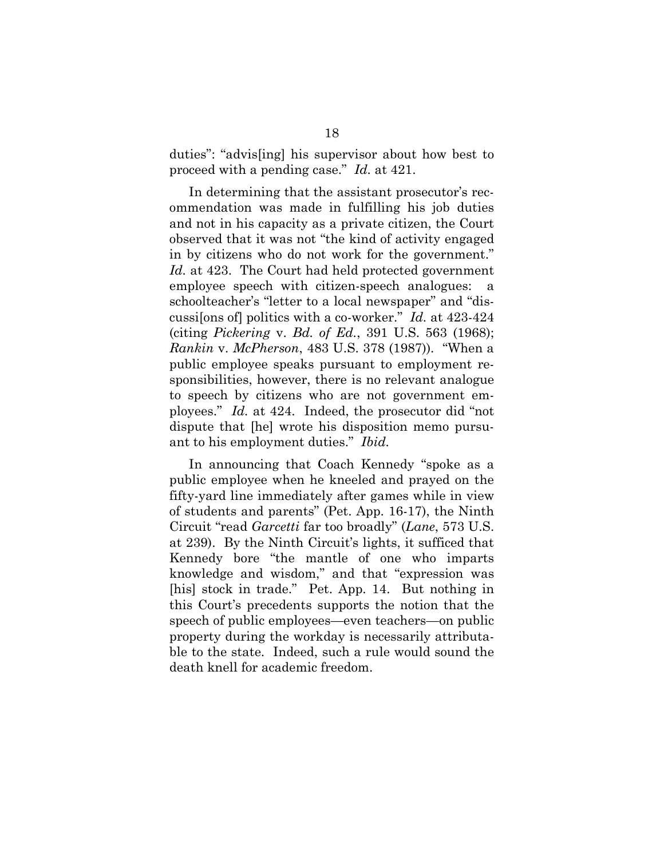duties": "advis[ing] his supervisor about how best to proceed with a pending case." *Id.* at 421.

In determining that the assistant prosecutor's recommendation was made in fulfilling his job duties and not in his capacity as a private citizen, the Court observed that it was not "the kind of activity engaged in by citizens who do not work for the government." *Id.* at 423. The Court had held protected government employee speech with citizen-speech analogues: a schoolteacher's "letter to a local newspaper" and "discussi[ons of] politics with a co-worker." *Id.* at 423-424 (citing *Pickering* v. *Bd. of Ed.*, 391 U.S. 563 (1968); *Rankin* v. *McPherson*, 483 U.S. 378 (1987)). "When a public employee speaks pursuant to employment responsibilities, however, there is no relevant analogue to speech by citizens who are not government employees." *Id.* at 424. Indeed, the prosecutor did "not dispute that [he] wrote his disposition memo pursuant to his employment duties." *Ibid.*

<span id="page-25-2"></span><span id="page-25-1"></span><span id="page-25-0"></span>In announcing that Coach Kennedy "spoke as a public employee when he kneeled and prayed on the fifty-yard line immediately after games while in view of students and parents" (Pet. App. 16-17), the Ninth Circuit "read *Garcetti* far too broadly" (*Lane*, 573 U.S. at 239). By the Ninth Circuit's lights, it sufficed that Kennedy bore "the mantle of one who imparts knowledge and wisdom," and that "expression was [his] stock in trade." Pet. App. 14. But nothing in this Court's precedents supports the notion that the speech of public employees—even teachers—on public property during the workday is necessarily attributable to the state. Indeed, such a rule would sound the death knell for academic freedom.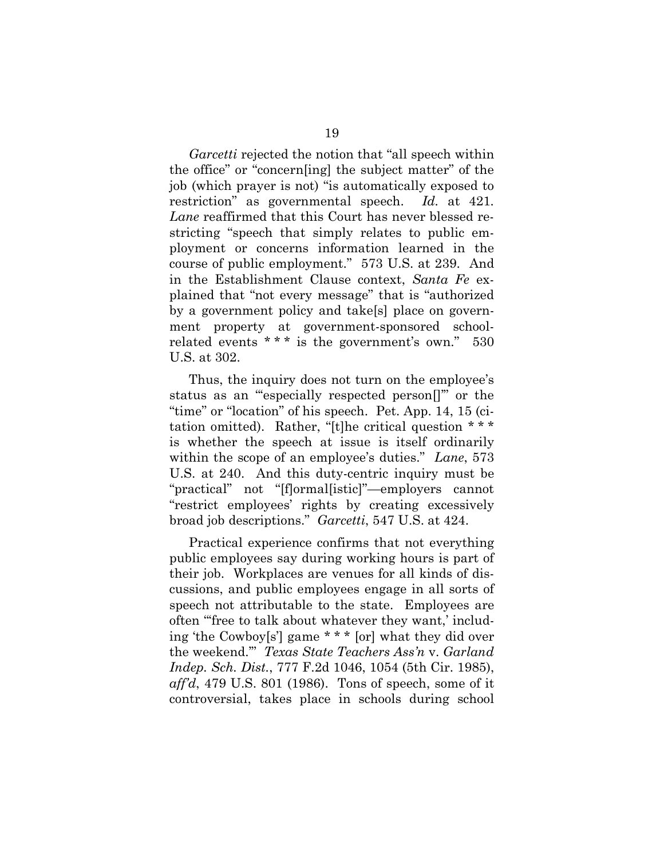<span id="page-26-0"></span>*Garcetti* rejected the notion that "all speech within the office" or "concern[ing] the subject matter" of the job (which prayer is not) "is automatically exposed to restriction" as governmental speech. *Id.* at 421*. Lane* reaffirmed that this Court has never blessed restricting "speech that simply relates to public employment or concerns information learned in the course of public employment." 573 U.S. at 239. And in the Establishment Clause context, *Santa Fe* explained that "not every message" that is "authorized by a government policy and take[s] place on government property at government-sponsored schoolrelated events  $***$  is the government's own." 530 U.S. at 302.

<span id="page-26-1"></span>Thus, the inquiry does not turn on the employee's status as an "'especially respected person[]'" or the "time" or "location" of his speech. Pet. App. 14, 15 (citation omitted). Rather, "[t]he critical question \* \* \* is whether the speech at issue is itself ordinarily within the scope of an employee's duties." *Lane*, 573 U.S. at 240. And this duty-centric inquiry must be "practical" not "[f]ormal[istic]"—employers cannot "restrict employees' rights by creating excessively broad job descriptions." *Garcetti*, 547 U.S. at 424.

<span id="page-26-2"></span>Practical experience confirms that not everything public employees say during working hours is part of their job. Workplaces are venues for all kinds of discussions, and public employees engage in all sorts of speech not attributable to the state. Employees are often "'free to talk about whatever they want,' including 'the Cowboy[s'] game \* \* \* [or] what they did over the weekend.'" *Texas State Teachers Ass'n* v. *Garland Indep. Sch. Dist.*, 777 F.2d 1046, 1054 (5th Cir. 1985), *aff'd*, 479 U.S. 801 (1986). Tons of speech, some of it controversial, takes place in schools during school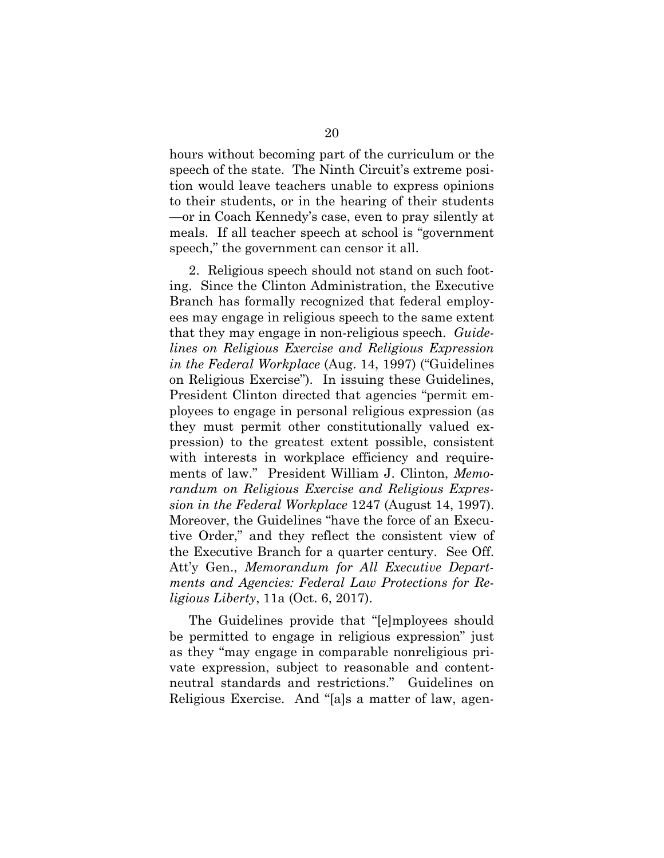hours without becoming part of the curriculum or the speech of the state. The Ninth Circuit's extreme position would leave teachers unable to express opinions to their students, or in the hearing of their students —or in Coach Kennedy's case, even to pray silently at meals. If all teacher speech at school is "government speech," the government can censor it all.

<span id="page-27-0"></span>2. Religious speech should not stand on such footing. Since the Clinton Administration, the Executive Branch has formally recognized that federal employees may engage in religious speech to the same extent that they may engage in non-religious speech. *Guidelines on Religious Exercise and Religious Expression in the Federal Workplace* (Aug. 14, 1997) ("Guidelines on Religious Exercise"). In issuing these Guidelines, President Clinton directed that agencies "permit employees to engage in personal religious expression (as they must permit other constitutionally valued expression) to the greatest extent possible, consistent with interests in workplace efficiency and requirements of law." President William J. Clinton, *Memorandum on Religious Exercise and Religious Expression in the Federal Workplace* 1247 (August 14, 1997). Moreover, the Guidelines "have the force of an Executive Order," and they reflect the consistent view of the Executive Branch for a quarter century. See Off. Att'y Gen., *Memorandum for All Executive Departments and Agencies: Federal Law Protections for Religious Liberty*, 11a (Oct. 6, 2017).

<span id="page-27-2"></span><span id="page-27-1"></span>The Guidelines provide that "[e]mployees should be permitted to engage in religious expression" just as they "may engage in comparable nonreligious private expression, subject to reasonable and contentneutral standards and restrictions." Guidelines on Religious Exercise. And "[a]s a matter of law, agen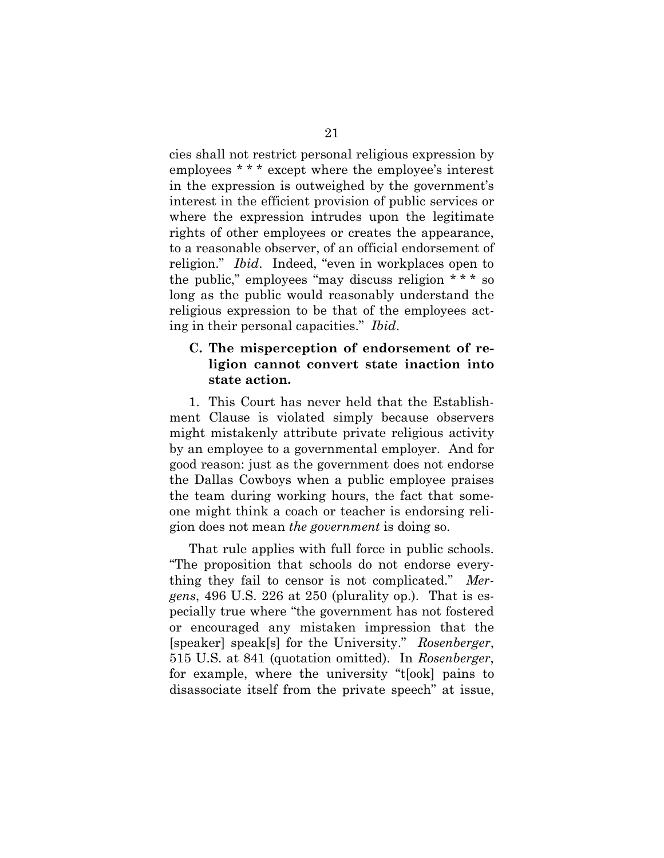cies shall not restrict personal religious expression by employees \* \* \* except where the employee's interest in the expression is outweighed by the government's interest in the efficient provision of public services or where the expression intrudes upon the legitimate rights of other employees or creates the appearance, to a reasonable observer, of an official endorsement of religion." *Ibid*. Indeed, "even in workplaces open to the public," employees "may discuss religion \* \* \* so long as the public would reasonably understand the religious expression to be that of the employees acting in their personal capacities." *Ibid*.

#### <span id="page-28-3"></span><span id="page-28-0"></span>**C. The misperception of endorsement of religion cannot convert state inaction into state action.**

1. This Court has never held that the Establishment Clause is violated simply because observers might mistakenly attribute private religious activity by an employee to a governmental employer. And for good reason: just as the government does not endorse the Dallas Cowboys when a public employee praises the team during working hours, the fact that someone might think a coach or teacher is endorsing religion does not mean *the government* is doing so.

<span id="page-28-2"></span><span id="page-28-1"></span>That rule applies with full force in public schools. "The proposition that schools do not endorse everything they fail to censor is not complicated." *Mergens*, 496 U.S. 226 at 250 (plurality op.). That is especially true where "the government has not fostered or encouraged any mistaken impression that the [speaker] speak[s] for the University." *Rosenberger*, 515 U.S. at 841 (quotation omitted). In *Rosenberger*, for example, where the university "t[ook] pains to disassociate itself from the private speech" at issue,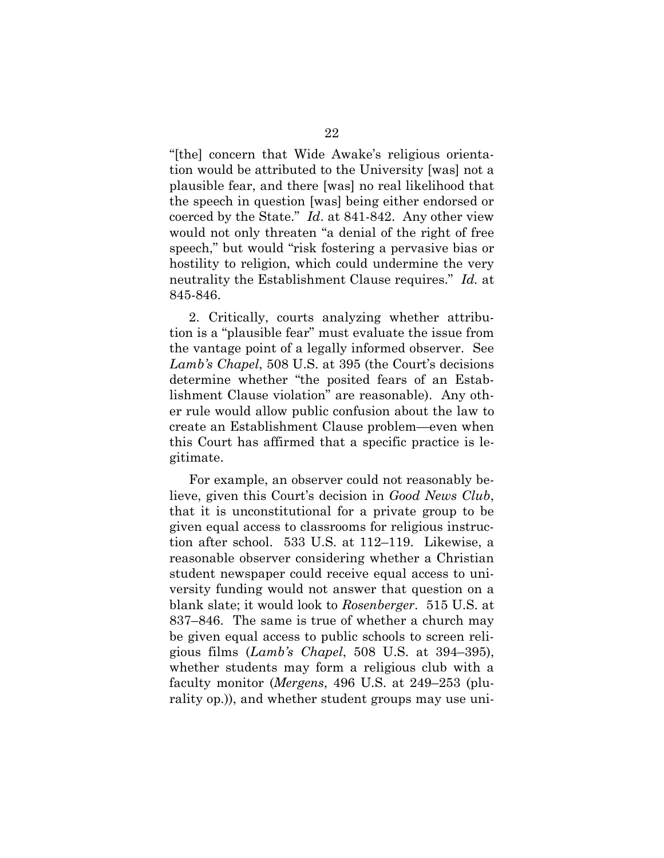"[the] concern that Wide Awake's religious orientation would be attributed to the University [was] not a plausible fear, and there [was] no real likelihood that the speech in question [was] being either endorsed or coerced by the State." *Id*. at 841-842. Any other view would not only threaten "a denial of the right of free speech," but would "risk fostering a pervasive bias or hostility to religion, which could undermine the very neutrality the Establishment Clause requires." *Id.* at 845-846.

<span id="page-29-2"></span>2. Critically, courts analyzing whether attribution is a "plausible fear" must evaluate the issue from the vantage point of a legally informed observer. See *Lamb's Chapel*, 508 U.S. at 395 (the Court's decisions determine whether "the posited fears of an Establishment Clause violation" are reasonable). Any other rule would allow public confusion about the law to create an Establishment Clause problem—even when this Court has affirmed that a specific practice is legitimate.

<span id="page-29-1"></span><span id="page-29-0"></span>For example, an observer could not reasonably believe, given this Court's decision in *Good News Club*, that it is unconstitutional for a private group to be given equal access to classrooms for religious instruction after school. 533 U.S. at 112–119. Likewise, a reasonable observer considering whether a Christian student newspaper could receive equal access to university funding would not answer that question on a blank slate; it would look to *Rosenberger*. 515 U.S. at 837–846. The same is true of whether a church may be given equal access to public schools to screen religious films (*Lamb's Chapel*, 508 U.S. at 394–395), whether students may form a religious club with a faculty monitor (*Mergens*, 496 U.S. at 249–253 (plurality op.)), and whether student groups may use uni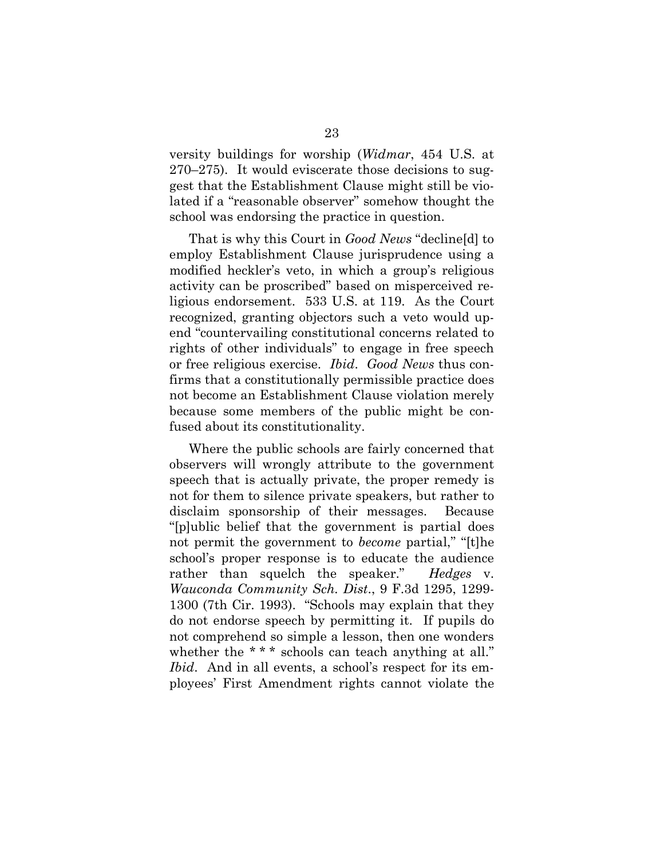<span id="page-30-3"></span>versity buildings for worship (*Widmar*, 454 U.S. at 270–275). It would eviscerate those decisions to suggest that the Establishment Clause might still be violated if a "reasonable observer" somehow thought the school was endorsing the practice in question.

<span id="page-30-0"></span>That is why this Court in *Good News* "decline[d] to employ Establishment Clause jurisprudence using a modified heckler's veto, in which a group's religious activity can be proscribed" based on misperceived religious endorsement. 533 U.S. at 119. As the Court recognized, granting objectors such a veto would upend "countervailing constitutional concerns related to rights of other individuals" to engage in free speech or free religious exercise. *Ibid*. *Good News* thus confirms that a constitutionally permissible practice does not become an Establishment Clause violation merely because some members of the public might be confused about its constitutionality.

<span id="page-30-2"></span><span id="page-30-1"></span>Where the public schools are fairly concerned that observers will wrongly attribute to the government speech that is actually private, the proper remedy is not for them to silence private speakers, but rather to disclaim sponsorship of their messages. Because "[p]ublic belief that the government is partial does not permit the government to *become* partial," "[t]he school's proper response is to educate the audience rather than squelch the speaker." *Hedges* v. *Wauconda Community Sch. Dist*., 9 F.3d 1295, 1299- 1300 (7th Cir. 1993). "Schools may explain that they do not endorse speech by permitting it. If pupils do not comprehend so simple a lesson, then one wonders whether the \*\*\* schools can teach anything at all." *Ibid.* And in all events, a school's respect for its employees' First Amendment rights cannot violate the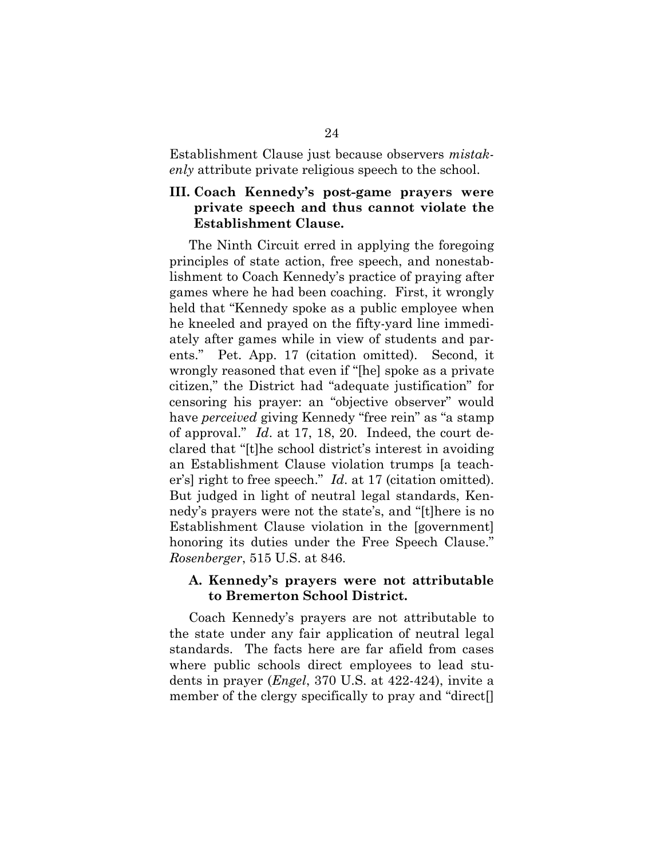Establishment Clause just because observers *mistakenly* attribute private religious speech to the school.

#### <span id="page-31-0"></span>**III. Coach Kennedy's post-game prayers were private speech and thus cannot violate the Establishment Clause.**

The Ninth Circuit erred in applying the foregoing principles of state action, free speech, and nonestablishment to Coach Kennedy's practice of praying after games where he had been coaching. First, it wrongly held that "Kennedy spoke as a public employee when he kneeled and prayed on the fifty-yard line immediately after games while in view of students and parents." Pet. App. 17 (citation omitted). Second, it wrongly reasoned that even if "[he] spoke as a private citizen," the District had "adequate justification" for censoring his prayer: an "objective observer" would have *perceived* giving Kennedy "free rein" as "a stamp of approval." *Id*. at 17, 18, 20. Indeed, the court declared that "[t]he school district's interest in avoiding an Establishment Clause violation trumps [a teacher's] right to free speech." *Id*. at 17 (citation omitted). But judged in light of neutral legal standards, Kennedy's prayers were not the state's, and "[t]here is no Establishment Clause violation in the [government] honoring its duties under the Free Speech Clause." *Rosenberger*, 515 U.S. at 846.

#### <span id="page-31-1"></span>**A. Kennedy's prayers were not attributable to Bremerton School District.**

<span id="page-31-2"></span>Coach Kennedy's prayers are not attributable to the state under any fair application of neutral legal standards. The facts here are far afield from cases where public schools direct employees to lead students in prayer (*Engel*, 370 U.S. at 422-424), invite a member of the clergy specifically to pray and "direct[]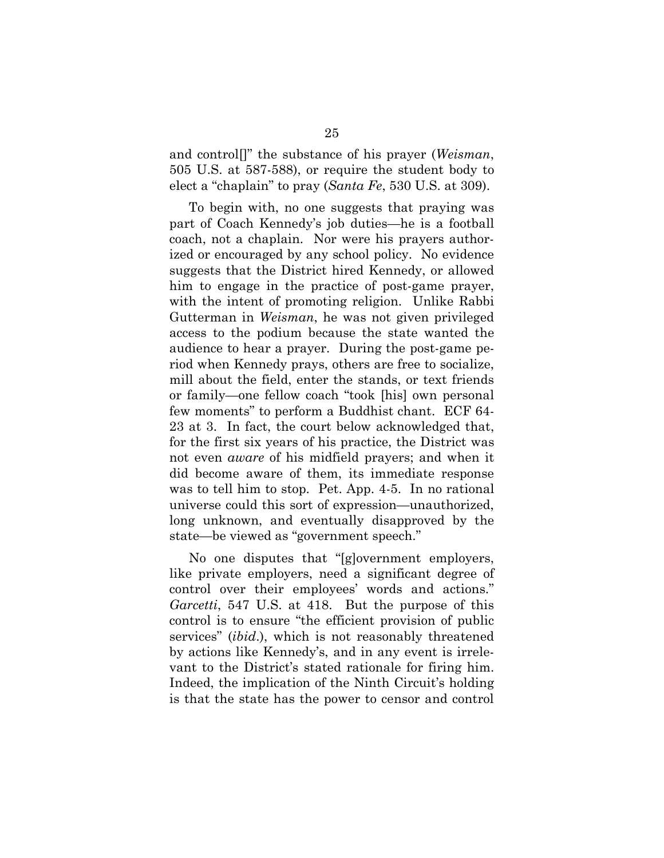<span id="page-32-0"></span>and control[]" the substance of his prayer (*Weisman*, 505 U.S. at 587-588), or require the student body to elect a "chaplain" to pray (*Santa Fe*, 530 U.S. at 309).

<span id="page-32-1"></span>To begin with, no one suggests that praying was part of Coach Kennedy's job duties—he is a football coach, not a chaplain. Nor were his prayers authorized or encouraged by any school policy. No evidence suggests that the District hired Kennedy, or allowed him to engage in the practice of post-game prayer, with the intent of promoting religion. Unlike Rabbi Gutterman in *Weisman*, he was not given privileged access to the podium because the state wanted the audience to hear a prayer. During the post-game period when Kennedy prays, others are free to socialize, mill about the field, enter the stands, or text friends or family—one fellow coach "took [his] own personal few moments" to perform a Buddhist chant. ECF 64- 23 at 3. In fact, the court below acknowledged that, for the first six years of his practice, the District was not even *aware* of his midfield prayers; and when it did become aware of them, its immediate response was to tell him to stop. Pet. App. 4-5. In no rational universe could this sort of expression—unauthorized, long unknown, and eventually disapproved by the state—be viewed as "government speech."

No one disputes that "[g]overnment employers, like private employers, need a significant degree of control over their employees' words and actions." *Garcetti*, 547 U.S. at 418. But the purpose of this control is to ensure "the efficient provision of public services" (*ibid*.), which is not reasonably threatened by actions like Kennedy's, and in any event is irrelevant to the District's stated rationale for firing him. Indeed, the implication of the Ninth Circuit's holding is that the state has the power to censor and control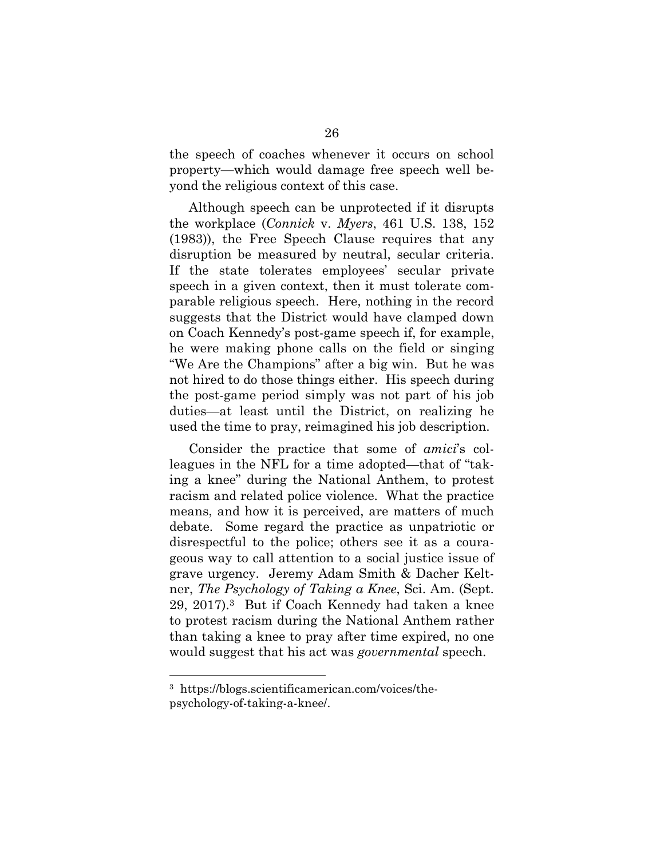the speech of coaches whenever it occurs on school property—which would damage free speech well beyond the religious context of this case.

<span id="page-33-0"></span>Although speech can be unprotected if it disrupts the workplace (*Connick* v. *Myers*, 461 U.S. 138, 152 (1983)), the Free Speech Clause requires that any disruption be measured by neutral, secular criteria. If the state tolerates employees' secular private speech in a given context, then it must tolerate comparable religious speech. Here, nothing in the record suggests that the District would have clamped down on Coach Kennedy's post-game speech if, for example, he were making phone calls on the field or singing "We Are the Champions" after a big win. But he was not hired to do those things either. His speech during the post-game period simply was not part of his job duties—at least until the District, on realizing he used the time to pray, reimagined his job description.

Consider the practice that some of *amici*'s colleagues in the NFL for a time adopted—that of "taking a knee" during the National Anthem, to protest racism and related police violence. What the practice means, and how it is perceived, are matters of much debate. Some regard the practice as unpatriotic or disrespectful to the police; others see it as a courageous way to call attention to a social justice issue of grave urgency. Jeremy Adam Smith & Dacher Keltner, *The Psychology of Taking a Knee*, Sci. Am. (Sept. 29, 2017).3 But if Coach Kennedy had taken a knee to protest racism during the National Anthem rather than taking a knee to pray after time expired, no one would suggest that his act was *governmental* speech.

<span id="page-33-2"></span><span id="page-33-1"></span><sup>3</sup> https://blogs.scientificamerican.com/voices/thepsychology-of-taking-a-knee/.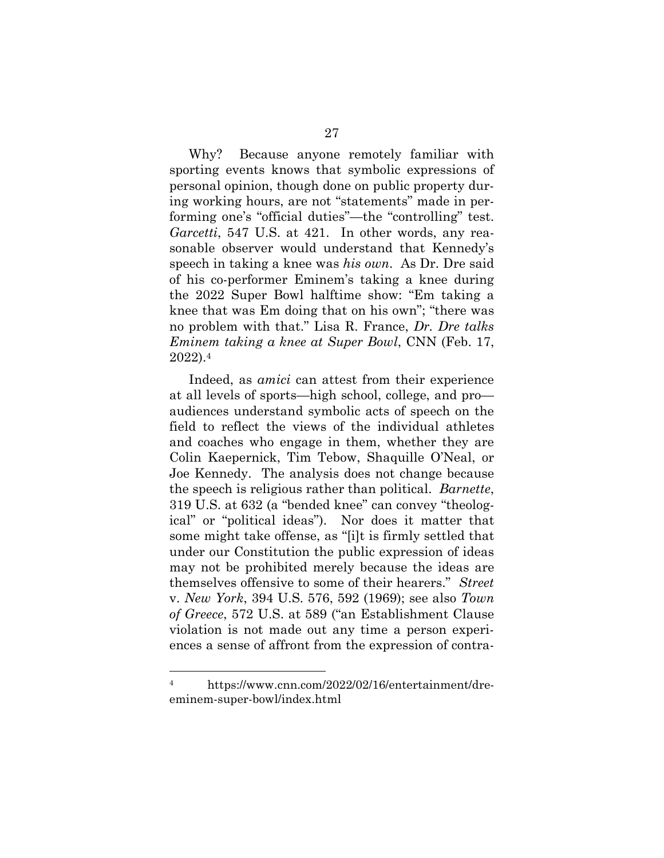Why? Because anyone remotely familiar with sporting events knows that symbolic expressions of personal opinion, though done on public property during working hours, are not "statements" made in performing one's "official duties"—the "controlling" test. *Garcetti*, 547 U.S. at 421. In other words, any reasonable observer would understand that Kennedy's speech in taking a knee was *his own*. As Dr. Dre said of his co-performer Eminem's taking a knee during the 2022 Super Bowl halftime show: "Em taking a knee that was Em doing that on his own"; "there was no problem with that." Lisa R. France, *Dr. Dre talks Eminem taking a knee at Super Bowl*, CNN (Feb. 17, 2022).<sup>4</sup>

<span id="page-34-3"></span><span id="page-34-2"></span>Indeed, as *amici* can attest from their experience at all levels of sports—high school, college, and pro audiences understand symbolic acts of speech on the field to reflect the views of the individual athletes and coaches who engage in them, whether they are Colin Kaepernick, Tim Tebow, Shaquille O'Neal, or Joe Kennedy. The analysis does not change because the speech is religious rather than political. *Barnette*, 319 U.S. at 632 (a "bended knee" can convey "theological" or "political ideas"). Nor does it matter that some might take offense, as "[i]t is firmly settled that under our Constitution the public expression of ideas may not be prohibited merely because the ideas are themselves offensive to some of their hearers." *Street*  v. *New York*, 394 U.S. 576, 592 (1969); see also *Town of Greece*, 572 U.S. at 589 ("an Establishment Clause violation is not made out any time a person experiences a sense of affront from the expression of contra-

<span id="page-34-1"></span><span id="page-34-0"></span><sup>4</sup> https://www.cnn.com/2022/02/16/entertainment/dreeminem-super-bowl/index.html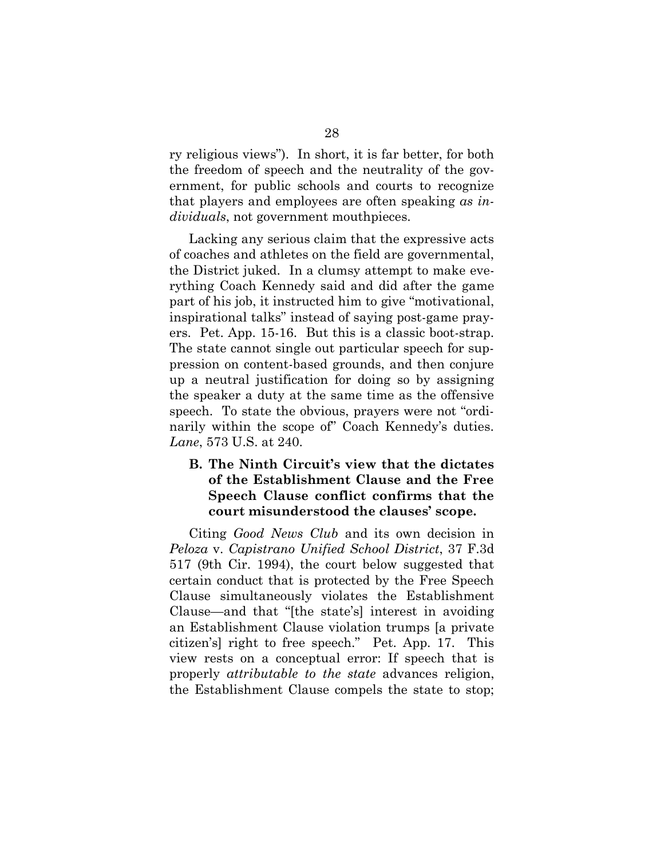ry religious views"). In short, it is far better, for both the freedom of speech and the neutrality of the government, for public schools and courts to recognize that players and employees are often speaking *as individuals*, not government mouthpieces.

Lacking any serious claim that the expressive acts of coaches and athletes on the field are governmental, the District juked. In a clumsy attempt to make everything Coach Kennedy said and did after the game part of his job, it instructed him to give "motivational, inspirational talks" instead of saying post-game prayers. Pet. App. 15-16. But this is a classic boot-strap. The state cannot single out particular speech for suppression on content-based grounds, and then conjure up a neutral justification for doing so by assigning the speaker a duty at the same time as the offensive speech. To state the obvious, prayers were not "ordinarily within the scope of Coach Kennedy's duties. *Lane*, 573 U.S. at 240.

## <span id="page-35-2"></span><span id="page-35-0"></span>**B. The Ninth Circuit's view that the dictates of the Establishment Clause and the Free Speech Clause conflict confirms that the court misunderstood the clauses' scope.**

<span id="page-35-3"></span><span id="page-35-1"></span>Citing *Good News Club* and its own decision in *Peloza* v. *Capistrano Unified School District*, 37 F.3d 517 (9th Cir. 1994), the court below suggested that certain conduct that is protected by the Free Speech Clause simultaneously violates the Establishment Clause—and that "[the state's] interest in avoiding an Establishment Clause violation trumps [a private citizen's] right to free speech." Pet. App. 17. This view rests on a conceptual error: If speech that is properly *attributable to the state* advances religion, the Establishment Clause compels the state to stop;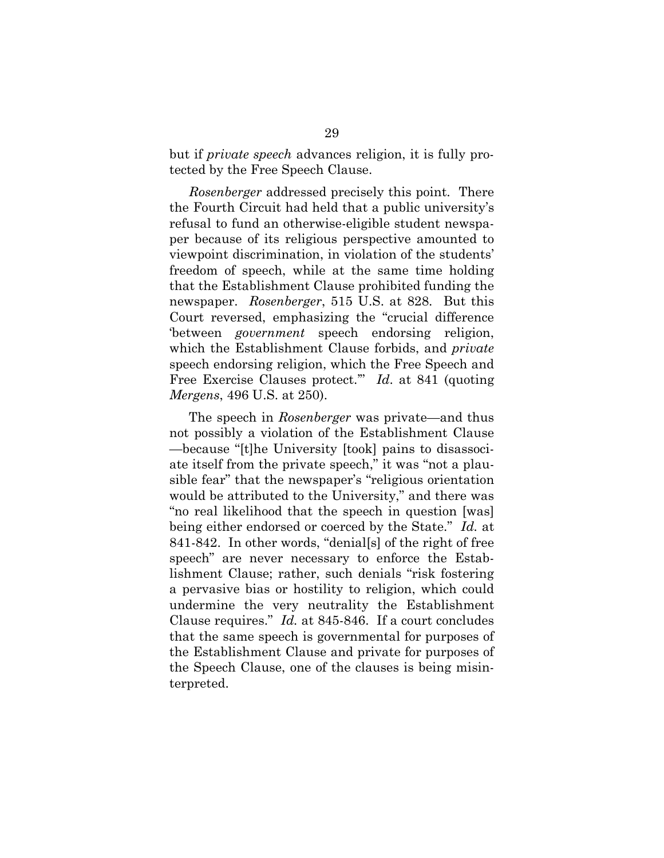but if *private speech* advances religion, it is fully protected by the Free Speech Clause.

*Rosenberger* addressed precisely this point. There the Fourth Circuit had held that a public university's refusal to fund an otherwise-eligible student newspaper because of its religious perspective amounted to viewpoint discrimination, in violation of the students' freedom of speech, while at the same time holding that the Establishment Clause prohibited funding the newspaper. *Rosenberger*, 515 U.S. at 828. But this Court reversed, emphasizing the "crucial difference 'between *government* speech endorsing religion, which the Establishment Clause forbids, and *private*  speech endorsing religion, which the Free Speech and Free Exercise Clauses protect.'" *Id*. at 841 (quoting *Mergens*, 496 U.S. at 250).

<span id="page-36-0"></span>The speech in *Rosenberger* was private—and thus not possibly a violation of the Establishment Clause —because "[t]he University [took] pains to disassociate itself from the private speech," it was "not a plausible fear" that the newspaper's "religious orientation would be attributed to the University," and there was "no real likelihood that the speech in question [was] being either endorsed or coerced by the State." *Id.* at 841-842. In other words, "denial[s] of the right of free speech" are never necessary to enforce the Establishment Clause; rather, such denials "risk fostering a pervasive bias or hostility to religion, which could undermine the very neutrality the Establishment Clause requires." *Id.* at 845-846. If a court concludes that the same speech is governmental for purposes of the Establishment Clause and private for purposes of the Speech Clause, one of the clauses is being misinterpreted.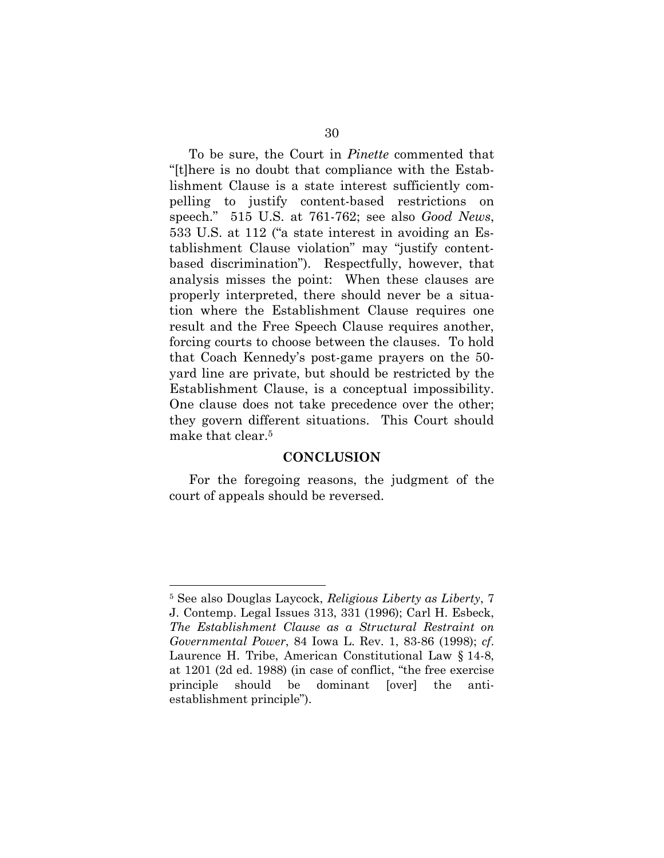<span id="page-37-2"></span><span id="page-37-1"></span>To be sure, the Court in *Pinette* commented that "[t]here is no doubt that compliance with the Establishment Clause is a state interest sufficiently compelling to justify content-based restrictions on speech." 515 U.S. at 761-762; see also *Good News*, 533 U.S. at 112 ("a state interest in avoiding an Establishment Clause violation" may "justify contentbased discrimination"). Respectfully, however, that analysis misses the point: When these clauses are properly interpreted, there should never be a situation where the Establishment Clause requires one result and the Free Speech Clause requires another, forcing courts to choose between the clauses. To hold that Coach Kennedy's post-game prayers on the 50 yard line are private, but should be restricted by the Establishment Clause, is a conceptual impossibility. One clause does not take precedence over the other; they govern different situations. This Court should make that clear.<sup>5</sup>

#### <span id="page-37-3"></span>**CONCLUSION**

<span id="page-37-0"></span>For the foregoing reasons, the judgment of the court of appeals should be reversed.

<span id="page-37-5"></span><span id="page-37-4"></span><sup>5</sup> See also Douglas Laycock, *Religious Liberty as Liberty*, 7 J. Contemp. Legal Issues 313, 331 (1996); Carl H. Esbeck, *The Establishment Clause as a Structural Restraint on Governmental Power*, 84 Iowa L. Rev. 1, 83-86 (1998); *cf*. Laurence H. Tribe, American Constitutional Law § 14-8, at 1201 (2d ed. 1988) (in case of conflict, "the free exercise principle should be dominant [over] the antiestablishment principle").